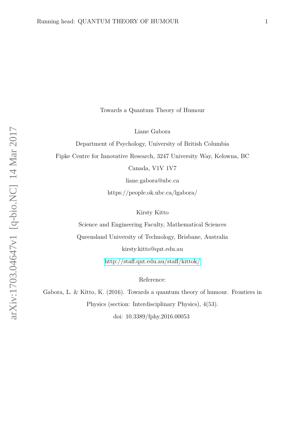Towards a Quantum Theory of Humour

Liane Gabora

Department of Psychology, University of British Columbia

Fipke Centre for Innovative Research, 3247 University Way, Kelowna, BC

Canada, V1V 1V7

liane.gabora@ubc.ca

https://people.ok.ubc.ca/lgabora/

Kirsty Kitto

Science and Engineering Faculty, Mathematical Sciences

Queensland University of Technology, Brisbane, Australia

kirsty.kitto@qut.edu.au

<http://staff.qut.edu.au/staff/kittok/>

Reference:

Gabora, L. & Kitto, K. (2016). Towards a quantum theory of humour. Frontiers in Physics (section: Interdisciplinary Physics), 4(53).

doi: 10.3389/fphy.2016.00053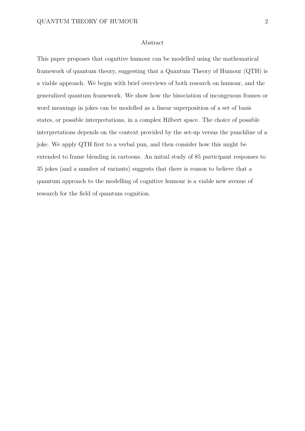## Abstract

This paper proposes that cognitive humour can be modelled using the mathematical framework of quantum theory, suggesting that a Quantum Theory of Humour (QTH) is a viable approach. We begin with brief overviews of both research on humour, and the generalized quantum framework. We show how the bisociation of incongruous frames or word meanings in jokes can be modelled as a linear superposition of a set of basis states, or possible interpretations, in a complex Hilbert space. The choice of possible interpretations depends on the context provided by the set-up versus the punchline of a joke. We apply QTH first to a verbal pun, and then consider how this might be extended to frame blending in cartoons. An initial study of 85 participant responses to 35 jokes (and a number of variants) suggests that there is reason to believe that a quantum approach to the modelling of cognitive humour is a viable new avenue of research for the field of quantum cognition.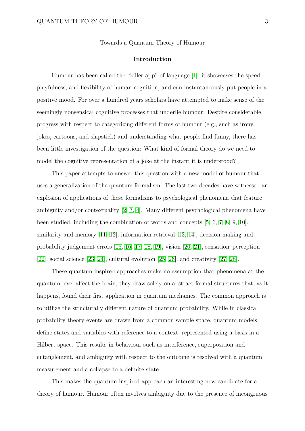Towards a Quantum Theory of Humour

# **Introduction**

Humour has been called the "killer app" of language [\[1\]](#page-23-0); it showcases the speed, playfulness, and flexibility of human cognition, and can instantaneously put people in a positive mood. For over a hundred years scholars have attempted to make sense of the seemingly nonsensical cognitive processes that underlie humour. Despite considerable progress with respect to categorizing different forms of humour (e.g., such as irony, jokes, cartoons, and slapstick) and understanding what people find funny, there has been little investigation of the question: What kind of formal theory do we need to model the cognitive representation of a joke at the instant it is understood?

This paper attempts to answer this question with a new model of humour that uses a generalization of the quantum formalism. The last two decades have witnessed an explosion of applications of these formalisms to psychological phenomena that feature ambiguity and/or contextuality [\[2,](#page-23-1) [3,](#page-23-2) [4\]](#page-23-3). Many different psychological phenomena have been studied, including the combination of words and concepts [\[5,](#page-23-4) [6,](#page-23-5) [7,](#page-24-0) [8,](#page-24-1) [9,](#page-24-2) [10\]](#page-24-3), similarity and memory [\[11,](#page-24-4) [12\]](#page-24-5), information retrieval [\[13,](#page-25-0) [14\]](#page-25-1), decision making and probability judgement errors [\[15,](#page-25-2) [16,](#page-25-3) [17,](#page-25-4) [18,](#page-25-5) [19\]](#page-25-6), vision [\[20,](#page-26-0) [21\]](#page-26-1), sensation–perception [\[22\]](#page-26-2), social science [\[23,](#page-26-3) [24\]](#page-26-4), cultural evolution [\[25,](#page-26-5) [26\]](#page-27-0), and creativity [\[27,](#page-27-1) [28\]](#page-27-2).

These quantum inspired approaches make no assumption that phenomena at the quantum level affect the brain; they draw solely on abstract formal structures that, as it happens, found their first application in quantum mechanics. The common approach is to utilize the structurally different nature of quantum probability. While in classical probability theory events are drawn from a common sample space, quantum models define states and variables with reference to a context, represented using a basis in a Hilbert space. This results in behaviour such as interference, superposition and entanglement, and ambiguity with respect to the outcome is resolved with a quantum measurement and a collapse to a definite state.

This makes the quantum inspired approach an interesting new candidate for a theory of humour. Humour often involves ambiguity due to the presence of incongruous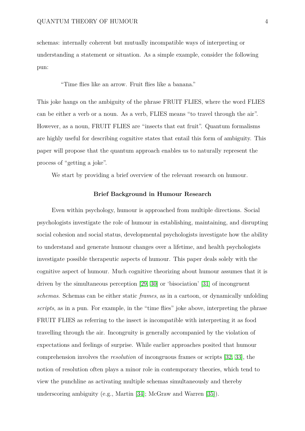schemas: internally coherent but mutually incompatible ways of interpreting or understanding a statement or situation. As a simple example, consider the following pun:

"Time flies like an arrow. Fruit flies like a banana."

This joke hangs on the ambiguity of the phrase FRUIT FLIES, where the word FLIES can be either a verb or a noun. As a verb, FLIES means "to travel through the air". However, as a noun, FRUIT FLIES are "insects that eat fruit". Quantum formalisms are highly useful for describing cognitive states that entail this form of ambiguity. This paper will propose that the quantum approach enables us to naturally represent the process of "getting a joke".

We start by providing a brief overview of the relevant research on humour.

## **Brief Background in Humour Research**

Even within psychology, humour is approached from multiple directions. Social psychologists investigate the role of humour in establishing, maintaining, and disrupting social cohesion and social status, developmental psychologists investigate how the ability to understand and generate humour changes over a lifetime, and health psychologists investigate possible therapeutic aspects of humour. This paper deals solely with the cognitive aspect of humour. Much cognitive theorizing about humour assumes that it is driven by the simultaneous perception [\[29,](#page-27-3) [30\]](#page-27-4) or 'bisociation' [\[31\]](#page-27-5) of incongruent *schemas*. Schemas can be either static *frames*, as in a cartoon, or dynamically unfolding *scripts*, as in a pun. For example, in the "time flies" joke above, interpreting the phrase FRUIT FLIES as referring to the insect is incompatible with interpreting it as food travelling through the air. Incongruity is generally accompanied by the violation of expectations and feelings of surprise. While earlier approaches posited that humour comprehension involves the *resolution* of incongruous frames or scripts [\[32,](#page-27-6) [33\]](#page-27-7), the notion of resolution often plays a minor role in contemporary theories, which tend to view the punchline as activating multiple schemas simultaneously and thereby underscoring ambiguity (e.g., Martin [\[34\]](#page-28-0); McGraw and Warren [\[35\]](#page-28-1)).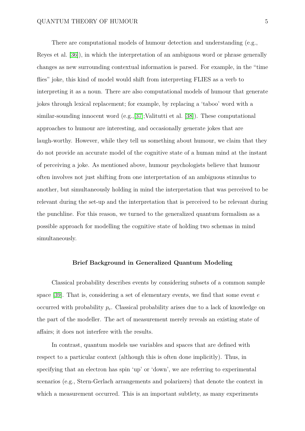# QUANTUM THEORY OF HUMOUR 5

There are computational models of humour detection and understanding (e.g., Reyes et al. [\[36\]](#page-28-2)), in which the interpretation of an ambiguous word or phrase generally changes as new surrounding contextual information is parsed. For example, in the "time flies" joke, this kind of model would shift from interpreting FLIES as a verb to interpreting it as a noun. There are also computational models of humour that generate jokes through lexical replacement; for example, by replacing a 'taboo' word with a similar-sounding innocent word (e.g.,[\[37\]](#page-28-3);Valitutti et al. [\[38\]](#page-28-4)). These computational approaches to humour are interesting, and occasionally generate jokes that are laugh-worthy. However, while they tell us something about humour, we claim that they do not provide an accurate model of the cognitive state of a human mind at the instant of perceiving a joke. As mentioned above, humour psychologists believe that humour often involves not just shifting from one interpretation of an ambiguous stimulus to another, but simultaneously holding in mind the interpretation that was perceived to be relevant during the set-up and the interpretation that is perceived to be relevant during the punchline. For this reason, we turned to the generalized quantum formalism as a possible approach for modelling the cognitive state of holding two schemas in mind simultaneously.

#### **Brief Background in Generalized Quantum Modeling**

Classical probability describes events by considering subsets of a common sample space [\[39\]](#page-28-5). That is, considering a set of elementary events, we find that some event *e* occurred with probability *pe*. Classical probability arises due to a lack of knowledge on the part of the modeller. The act of measurement merely reveals an existing state of affairs; it does not interfere with the results.

In contrast, quantum models use variables and spaces that are defined with respect to a particular context (although this is often done implicitly). Thus, in specifying that an electron has spin 'up' or 'down', we are referring to experimental scenarios (e.g., Stern-Gerlach arrangements and polarizers) that denote the context in which a measurement occurred. This is an important subtlety, as many experiments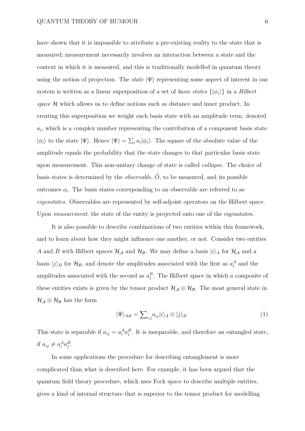have shown that it is impossible to attribute a pre-existing reality to the state that is measured; measurement necessarily involves an interaction between a state and the context in which it is measured, and this is traditionally modelled in quantum theory using the notion of projection. The *state*  $|\Psi\rangle$  representing some aspect of interest in our system is written as a linear superposition of a set of *basis states*  $\{|\phi_i\rangle\}$  in a *Hilbert space* H which allows us to define notions such as distance and inner product. In creating this superposition we weight each basis state with an amplitude term, denoted  $a_i$ , which is a complex number representing the contribution of a component basis state  $|\phi_i\rangle$  to the state  $|\Psi\rangle$ . Hence  $|\Psi\rangle = \sum_i a_i |\phi_i\rangle$ . The square of the absolute value of the amplitude equals the probability that the state changes to that particular basis state upon measurement. This non-unitary change of state is called *collapse*. The choice of basis states is determined by the *observable*,  $\hat{O}$ , to be measured, and its possible outcomes  $o_i$ . The basis states corresponding to an observable are referred to as *eigenstates*. Observables are represented by self-adjoint operators on the Hilbert space. Upon *measurement*, the state of the entity is projected onto one of the eigenstates.

It is also possible to describe combinations of two entities within this framework, and to learn about how they might influence one another, or not. Consider two entities *A* and *B* with Hilbert spaces  $\mathcal{H}_{\mathcal{A}}$  and  $\mathcal{H}_{\mathcal{B}}$ . We may define a basis  $|i\rangle_A$  for  $\mathcal{H}_{\mathcal{A}}$  and a basis  $|j\rangle_B$  for  $\mathcal{H}_B$ , and denote the amplitudes associated with the first as  $a_i^A$  and the amplitudes associated with the second as  $a_j^B$ . The Hilbert space in which a composite of these entities exists is given by the tensor product  $\mathcal{H}_{\mathcal{A}} \otimes \mathcal{H}_{\mathcal{B}}$ . The most general state in  $\mathcal{H}_{\mathcal{A}} \otimes \mathcal{H}_{\mathcal{B}}$  has the form

$$
|\Psi\rangle_{AB} = \sum_{i,j} a_{ij} |i\rangle_A \otimes |j\rangle_B \tag{1}
$$

This state is separable if  $a_{ij} = a_i^A a_j^B$ . It is inseparable, and therefore an entangled state, if  $a_{ij} \neq a_i^A a_j^B$ .

In some applications the procedure for describing entanglement is more complicated than what is described here. For example, it has been argued that the quantum field theory procedure, which uses Fock space to describe multiple entities, gives a kind of internal structure that is superior to the tensor product for modelling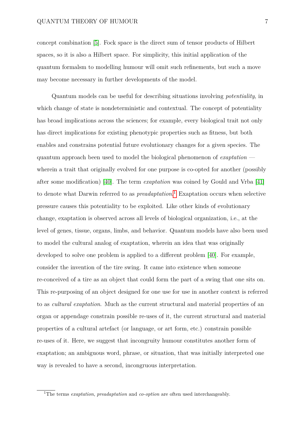# QUANTUM THEORY OF HUMOUR 7

concept combination [\[5\]](#page-23-4). Fock space is the direct sum of tensor products of Hilbert spaces, so it is also a Hilbert space. For simplicity, this initial application of the quantum formalsm to modelling humour will omit such refinements, but such a move may become necessary in further developments of the model.

Quantum models can be useful for describing situations involving *potentiality*, in which change of state is nondeterministic and contextual. The concept of potentiality has broad implications across the sciences; for example, every biological trait not only has direct implications for existing phenotypic properties such as fitness, but both enables and constrains potential future evolutionary changes for a given species. The quantum approach been used to model the biological phenomenon of *exaptation* wherein a trait that originally evolved for one purpose is co-opted for another (possibly after some modification) [\[40\]](#page-29-0). The term *exaptation* was coined by Gould and Vrba [\[41\]](#page-29-1) to denote what Darwin referred to as *preadaptation*. [1](#page-6-0) Exaptation occurs when selective pressure causes this potentiality to be exploited. Like other kinds of evolutionary change, exaptation is observed across all levels of biological organization, i.e., at the level of genes, tissue, organs, limbs, and behavior. Quantum models have also been used to model the cultural analog of exaptation, wherein an idea that was originally developed to solve one problem is applied to a different problem [\[40\]](#page-29-0). For example, consider the invention of the tire swing. It came into existence when someone re-conceived of a tire as an object that could form the part of a swing that one sits on. This re-purposing of an object designed for one use for use in another context is referred to as *cultural exaptation*. Much as the current structural and material properties of an organ or appendage constrain possible re-uses of it, the current structural and material properties of a cultural artefact (or language, or art form, etc.) constrain possible re-uses of it. Here, we suggest that incongruity humour constitutes another form of exaptation; an ambiguous word, phrase, or situation, that was initially interpreted one way is revealed to have a second, incongruous interpretation.

<span id="page-6-0"></span><sup>1</sup>The terms *exaptation*, *preadaptation* and *co-option* are often used interchangeably.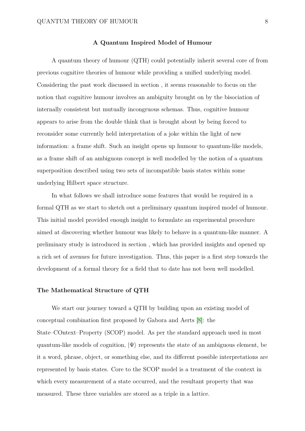## **A Quantum Inspired Model of Humour**

A quantum theory of humour (QTH) could potentially inherit several core of from previous cognitive theories of humour while providing a unified underlying model. Considering the past work discussed in section , it seems reasonable to focus on the notion that cognitive humour involves an ambiguity brought on by the bisociation of internally consistent but mutually incongruous schemas. Thus, cognitive humour appears to arise from the double think that is brought about by being forced to reconsider some currently held interpretation of a joke within the light of new information: a frame shift. Such an insight opens up humour to quantum-like models, as a frame shift of an ambiguous concept is well modelled by the notion of a quantum superposition described using two sets of incompatible basis states within some underlying Hilbert space structure.

In what follows we shall introduce some features that would be required in a formal QTH as we start to sketch out a preliminary quantum inspired model of humour. This initial model provided enough insight to formulate an experimental procedure aimed at discovering whether humour was likely to behave in a quantum-like manner. A preliminary study is introduced in section , which has provided insights and opened up a rich set of avenues for future investigation. Thus, this paper is a first step towards the development of a formal theory for a field that to date has not been well modelled.

#### **The Mathematical Structure of QTH**

We start our journey toward a QTH by building upon an existing model of conceptual combination first proposed by Gabora and Aerts [\[8\]](#page-24-1): the State–COntext–Property (SCOP) model. As per the standard approach used in most quantum-like models of cognition,  $|\Psi\rangle$  represents the state of an ambiguous element, be it a word, phrase, object, or something else, and its different possible interpretations are represented by basis states. Core to the SCOP model is a treatment of the context in which every measurement of a state occurred, and the resultant property that was measured. These three variables are stored as a triple in a lattice.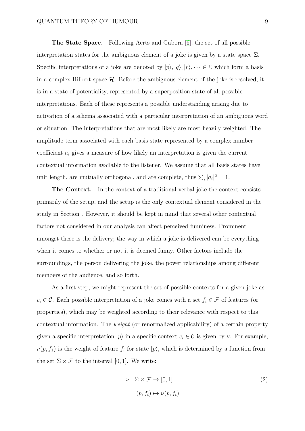**The State Space.** Following Aerts and Gabora [\[6\]](#page-23-5), the set of all possible interpretation states for the ambiguous element of a joke is given by a state space  $\Sigma$ . Specific interpretations of a joke are denoted by  $|p\rangle, |q\rangle, |r\rangle, \dots \in \Sigma$  which form a basis in a complex Hilbert space  $\mathcal{H}$ . Before the ambiguous element of the joke is resolved, it is in a state of potentiality, represented by a superposition state of all possible interpretations. Each of these represents a possible understanding arising due to activation of a schema associated with a particular interpretation of an ambiguous word or situation. The interpretations that are most likely are most heavily weighted. The amplitude term associated with each basis state represented by a complex number coefficient *a<sup>i</sup>* gives a measure of how likely an interpretation is given the current contextual information available to the listener. We assume that all basis states have unit length, are mutually orthogonal, and are complete, thus  $\sum_i |a_i|^2 = 1$ .

**The Context.** In the context of a traditional verbal joke the context consists primarily of the setup, and the setup is the only contextual element considered in the study in Section . However, it should be kept in mind that several other contextual factors not considered in our analysis can affect perceived funniness. Prominent amongst these is the delivery; the way in which a joke is delivered can be everything when it comes to whether or not it is deemed funny. Other factors include the surroundings, the person delivering the joke, the power relationships among different members of the audience, and so forth.

As a first step, we might represent the set of possible contexts for a given joke as  $c_i \in \mathcal{C}$ . Each possible interpretation of a joke comes with a set  $f_i \in \mathcal{F}$  of features (or properties), which may be weighted according to their relevance with respect to this contextual information. The *weight* (or renormalized applicability) of a certain property given a specific interpretation  $|p\rangle$  in a specific context  $c_i \in C$  is given by  $\nu$ . For example,  $\nu(p, f_1)$  is the weight of feature  $f_i$  for state  $|p\rangle$ , which is determined by a function from the set  $\Sigma \times \mathcal{F}$  to the interval [0, 1]. We write:

$$
\nu : \Sigma \times \mathcal{F} \to [0, 1]
$$
  
\n
$$
(p, f_i) \mapsto \nu(p, f_i).
$$
\n(2)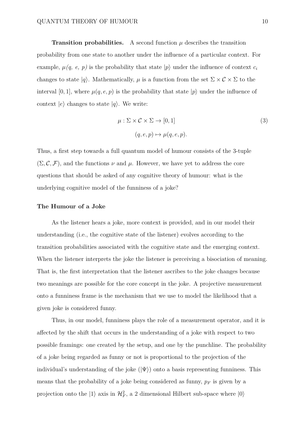**Transition probabilities.** A second function  $\mu$  describes the transition probability from one state to another under the influence of a particular context. For example,  $\mu(q, e, p)$  is the probability that state  $|p\rangle$  under the influence of context  $c_i$ changes to state  $|q\rangle$ . Mathematically,  $\mu$  is a function from the set  $\Sigma \times C \times \Sigma$  to the interval [0, 1], where  $\mu(q, e, p)$  is the probability that state  $|p\rangle$  under the influence of context  $|e\rangle$  changes to state  $|q\rangle$ . We write:

$$
\mu : \Sigma \times C \times \Sigma \to [0, 1]
$$
  

$$
(q, e, p) \mapsto \mu(q, e, p).
$$
 (3)

Thus, a first step towards a full quantum model of humour consists of the 3-tuple  $(\Sigma, \mathcal{C}, \mathcal{F})$ , and the functions  $\nu$  and  $\mu$ . However, we have yet to address the core questions that should be asked of any cognitive theory of humour: what is the underlying cognitive model of the funniness of a joke?

#### **The Humour of a Joke**

As the listener hears a joke, more context is provided, and in our model their understanding (i.e., the cognitive state of the listener) evolves according to the transition probabilities associated with the cognitive state and the emerging context. When the listener interprets the joke the listener is perceiving a bisociation of meaning. That is, the first interpretation that the listener ascribes to the joke changes because two meanings are possible for the core concept in the joke. A projective measurement onto a funniness frame is the mechanism that we use to model the likelihood that a given joke is considered funny.

Thus, in our model, funniness plays the role of a measurement operator, and it is affected by the shift that occurs in the understanding of a joke with respect to two possible framings: one created by the setup, and one by the punchline. The probability of a joke being regarded as funny or not is proportional to the projection of the individual's understanding of the joke  $(\ket{\Psi})$  onto a basis representing funniness. This means that the probability of a joke being considered as funny,  $p_F$  is given by a projection onto the  $|1\rangle$  axis in  $\mathcal{H}_F^2$ , a 2 dimensional Hilbert sub-space where  $|0\rangle$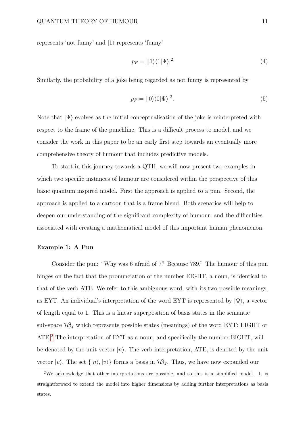represents 'not funny' and  $|1\rangle$  represents 'funny'.

$$
p_F = ||1\rangle\langle 1|\Psi\rangle|^2\tag{4}
$$

Similarly, the probability of a joke being regarded as not funny is represented by

$$
p_{\bar{F}} = ||0\rangle\langle 0|\Psi\rangle|^2. \tag{5}
$$

Note that  $|\Psi\rangle$  evolves as the initial conceptualisation of the joke is reinterpreted with respect to the frame of the punchline. This is a difficult process to model, and we consider the work in this paper to be an early first step towards an eventually more comprehensive theory of humour that includes predictive models.

To start in this journey towards a QTH, we will now present two examples in which two specific instances of humour are considered within the perspective of this basic quantum inspired model. First the approach is applied to a pun. Second, the approach is applied to a cartoon that is a frame blend. Both scenarios will help to deepen our understanding of the significant complexity of humour, and the difficulties associated with creating a mathematical model of this important human phenomenon.

## **Example 1: A Pun**

Consider the pun: "Why was 6 afraid of 7? Because 789." The humour of this pun hinges on the fact that the pronunciation of the number EIGHT, a noun, is identical to that of the verb ATE. We refer to this ambiguous word, with its two possible meanings, as EYT. An individual's interpretation of the word EYT is represented by  $|\Psi\rangle$ , a vector of length equal to 1. This is a linear superposition of basis states in the semantic sub-space  $\mathcal{H}_M^2$  which represents possible states (meanings) of the word EYT: EIGHT or ATE.<sup>[2](#page-10-0)</sup> The interpretation of EYT as a noun, and specifically the number EIGHT, will be denoted by the unit vector  $|n\rangle$ . The verb interpretation, ATE, is denoted by the unit vector  $|v\rangle$ . The set  $\{|n\rangle, |v\rangle\}$  forms a basis in  $\mathcal{H}_M^2$ . Thus, we have now expanded our

<span id="page-10-0"></span><sup>2</sup>We acknowledge that other interpretations are possible, and so this is a simplified model. It is straightforward to extend the model into higher dimensions by adding further interpretations as basis states.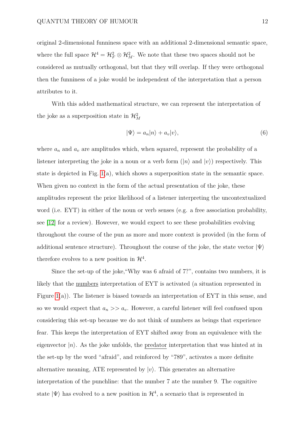original 2-dimensional funniness space with an additional 2-dimensional semantic space, where the full space  $\mathcal{H}^4 = \mathcal{H}_F^2 \otimes \mathcal{H}_M^2$ . We note that these two spaces should not be considered as mutually orthogonal, but that they will overlap. If they were orthogonal then the funniness of a joke would be independent of the interpretation that a person attributes to it.

With this added mathematical structure, we can represent the interpretation of the joke as a superposition state in  $\mathcal{H}^2_M$ 

$$
|\Psi\rangle = a_n |n\rangle + a_v |v\rangle,\tag{6}
$$

where  $a_n$  and  $a_v$  are amplitudes which, when squared, represent the probability of a listener interpreting the joke in a noun or a verb form  $(|n\rangle$  and  $|v\rangle$ ) respectively. This state is depicted in Fig. [1\(](#page-44-0)a), which shows a superposition state in the semantic space. When given no context in the form of the actual presentation of the joke, these amplitudes represent the prior likelihood of a listener interpreting the uncontextualized word (i.e. EYT) in either of the noun or verb senses (e.g. a free association probability, see [\[12\]](#page-24-5) for a review). However, we would expect to see these probabilities evolving throughout the course of the pun as more and more context is provided (in the form of additional sentence structure). Throughout the course of the joke, the state vector  $|\Psi\rangle$ therefore evolves to a new position in  $\mathcal{H}^4$ .

Since the set-up of the joke,"Why was 6 afraid of 7?", contains two numbers, it is likely that the numbers interpretation of EYT is activated (a situation represented in Figure  $1(a)$ ). The listener is biased towards an interpretation of EYT in this sense, and so we would expect that  $a_n \gg a_v$ . However, a careful listener will feel confused upon considering this set-up because we do not think of numbers as beings that experience fear. This keeps the interpretation of EYT shifted away from an equivalence with the eigenvector  $|n\rangle$ . As the joke unfolds, the predator interpretation that was hinted at in the set-up by the word "afraid", and reinforced by "789", activates a more definite alternative meaning, ATE represented by  $|v\rangle$ . This generates an alternative interpretation of the punchline: that the number 7 ate the number 9. The cognitive state  $|\Psi\rangle$  has evolved to a new position in  $\mathcal{H}^4$ , a scenario that is represented in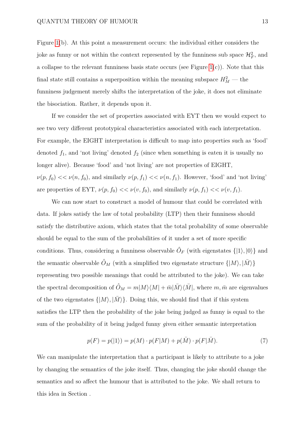Figure [1\(](#page-44-0)b). At this point a measurement occurs: the individual either considers the joke as funny or not within the context represented by the funniness sub space  $\mathcal{H}_F^2$ , and a collapse to the relevant funniness basis state occurs (see Figure [1\(](#page-44-0)c)). Note that this final state still contains a superposition within the meaning subspace  $H_M^2$  — the funniness judgement merely shifts the interpretation of the joke, it does not eliminate the bisociation. Rather, it depends upon it.

If we consider the set of properties associated with EYT then we would expect to see two very different prototypical characteristics associated with each interpretation. For example, the EIGHT interpretation is difficult to map into properties such as 'food' denoted  $f_1$ , and 'not living' denoted  $f_2$  (since when something is eaten it is usually no longer alive). Because 'food' and 'not living' are not properties of EIGHT,  $\nu(p, f_0) \ll \nu(n, f_0)$ , and similarly  $\nu(p, f_1) \ll \nu(n, f_1)$ . However, 'food' and 'not living' are properties of EYT,  $\nu(p, f_0) \ll \nu(v, f_0)$ , and similarly  $\nu(p, f_1) \ll \nu(v, f_1)$ .

We can now start to construct a model of humour that could be correlated with data. If jokes satisfy the law of total probability (LTP) then their funniness should satisfy the distributive axiom, which states that the total probability of some observable should be equal to the sum of the probabilities of it under a set of more specific conditions. Thus, considering a funniness observable  $\hat{O}_F$  (with eigenstates  $\{|1\rangle, |0\rangle\}$  and the semantic observable  $\hat{O}_M$  (with a simplified two eigenstate structure  $\{|M\rangle, |\bar{M}\rangle\}$ representing two possible meanings that could be attributed to the joke). We can take the spectral decomposition of  $\hat{O}_M = m|M\rangle\langle M| + \bar{m}|\bar{M}\rangle\langle\bar{M}|$ , where  $m, \bar{m}$  are eigenvalues of the two eigenstates  $\{|M\rangle, |\overline{M}\rangle\}$ . Doing this, we should find that if this system satisfies the LTP then the probability of the joke being judged as funny is equal to the sum of the probability of it being judged funny *g*iven either semantic interpretation

<span id="page-12-0"></span>
$$
p(F) = p(|1\rangle) = p(M) \cdot p(F|M) + p(\bar{M}) \cdot p(F|\bar{M}).
$$
\n(7)

We can manipulate the interpretation that a participant is likely to attribute to a joke by changing the semantics of the joke itself. Thus, changing the joke should change the semantics and so affect the humour that is attributed to the joke. We shall return to this idea in Section .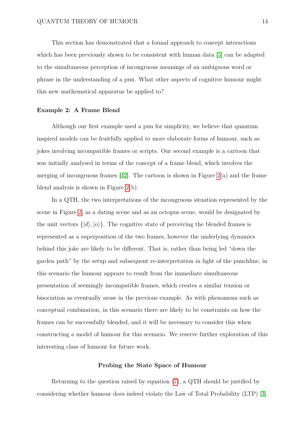This section has demonstrated that a formal approach to concept interactions which has been previously shown to be consistent with human data [\[5\]](#page-23-4) can be adapted to the simultaneous perception of incongruous meanings of an ambiguous word or phrase in the understanding of a pun. What other aspects of cognitive humour might this new mathematical apparatus be applied to?

## **Example 2: A Frame Blend**

Although our first example used a pun for simplicity, we believe that quantum inspired models can be fruitfully applied to more elaborate forms of humour, such as jokes involving incompatible frames or scripts. Our second example is a cartoon that was initially analysed in terms of the concept of a frame blend, which involves the merging of incongruous frames  $[42]$ . The cartoon is shown in Figure  $2(a)$  and the frame blend analysis is shown in Figure [2\(](#page-45-0)b).

In a QTH, the two interpretations of the incongruous situation represented by the scene in Figure [2,](#page-45-0) as a dating scene and as an octopus scene, would be designated by the unit vectors  $\{|d\rangle, |o\rangle\}$ . The cognitive state of perceiving the blended frames is represented as a superposition of the two frames, however the underlying dynamics behind this joke are likely to be different. That is, rather than being led "down the garden path" by the setup and subsequent re-interpretation in light of the punchline, in this scenario the humour appears to result from the immediate simultaneous presentation of seemingly incompatible frames, which creates a similar tension or bisociation as eventually arose in the previous example. As with phenomena such as conceptual combination, in this scenario there are likely to be constraints on how the frames can be successfully blended, and it will be necessary to consider this when constructing a model of humour for this scenario. We reserve further exploration of this interesting class of humour for future work.

## **Probing the State Space of Humour**

Returning to the question raised by equation [\(7\)](#page-12-0), a QTH should be justified by considering whether humour does indeed violate the Law of Total Probability (LTP) [\[3\]](#page-23-2).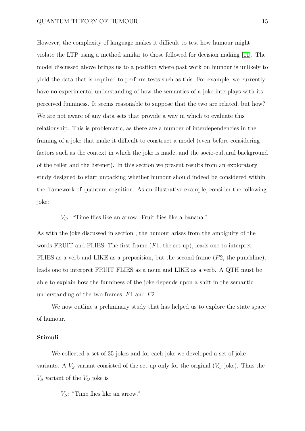# QUANTUM THEORY OF HUMOUR 15

However, the complexity of language makes it difficult to test how humour might violate the LTP using a method similar to those followed for decision making [\[11\]](#page-24-4). The model discussed above brings us to a position where past work on humour is unlikely to yield the data that is required to perform tests such as this. For example, we currently have no experimental understanding of how the semantics of a joke interplays with its perceived funniness. It seems reasonable to suppose that the two are related, but how? We are not aware of any data sets that provide a way in which to evaluate this relationship. This is problematic, as there are a number of interdependencies in the framing of a joke that make it difficult to construct a model (even before considering factors such as the context in which the joke is made, and the socio-cultural background of the teller and the listener). In this section we present results from an exploratory study designed to start unpacking whether humour should indeed be considered within the framework of quantum cognition. As an illustrative example, consider the following joke:

*VO*: "Time flies like an arrow. Fruit flies like a banana."

As with the joke discussed in section , the humour arises from the ambiguity of the words FRUIT and FLIES. The first frame (*F*1, the set-up), leads one to interpret FLIES as a verb and LIKE as a preposition, but the second frame (*F*2, the punchline), leads one to interpret FRUIT FLIES as a noun and LIKE as a verb. A QTH must be able to explain how the funniness of the joke depends upon a shift in the semantic understanding of the two frames, *F*1 and *F*2.

We now outline a preliminary study that has helped us to explore the state space of humour.

## **Stimuli**

We collected a set of 35 jokes and for each joke we developed a set of joke variants. A  $V_s$  variant consisted of the set-up only for the original  $(V_o)$  joke). Thus the  $V_S$  variant of the  $V_O$  joke is

*VS*: "Time flies like an arrow."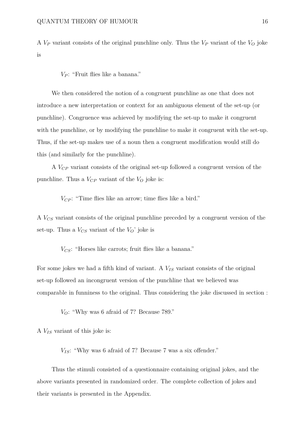A *V<sup>P</sup>* variant consists of the original punchline only. Thus the *V<sup>P</sup>* variant of the *V<sup>O</sup>* joke is

*V<sup>P</sup>* : "Fruit flies like a banana."

We then considered the notion of a congruent punchline as one that does not introduce a new interpretation or context for an ambiguous element of the set-up (or punchline). Congruence was achieved by modifying the set-up to make it congruent with the punchline, or by modifying the punchline to make it congruent with the set-up. Thus, if the set-up makes use of a noun then a congruent modification would still do this (and similarly for the punchline).

A *VCP* variant consists of the original set-up followed a congruent version of the punchline. Thus a  $V_{CP}$  variant of the  $V_{O}$  joke is:

 $V_{CP}$ : "Time flies like an arrow; time flies like a bird."

A *VCS* variant consists of the original punchline preceded by a congruent version of the set-up. Thus a  $V_{CS}$  variant of the  $V_O$ <sup>'</sup> joke is

*VCS*: "Horses like carrots; fruit flies like a banana."

For some jokes we had a fifth kind of variant. A *VIS* variant consists of the original set-up followed an incongruent version of the punchline that we believed was comparable in funniness to the original. Thus considering the joke discussed in section :

*VO*: "Why was 6 afraid of 7? Because 789."

A *VIS* variant of this joke is:

 $V_{IS}$ : "Why was 6 afraid of 7? Because 7 was a six offender."

Thus the stimuli consisted of a questionnaire containing original jokes, and the above variants presented in randomized order. The complete collection of jokes and their variants is presented in the Appendix.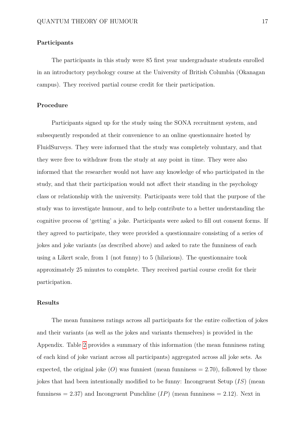## **Participants**

The participants in this study were 85 first year undergraduate students enrolled in an introductory psychology course at the University of British Columbia (Okanagan campus). They received partial course credit for their participation.

# **Procedure**

Participants signed up for the study using the SONA recruitment system, and subsequently responded at their convenience to an online questionnaire hosted by FluidSurveys. They were informed that the study was completely voluntary, and that they were free to withdraw from the study at any point in time. They were also informed that the researcher would not have any knowledge of who participated in the study, and that their participation would not affect their standing in the psychology class or relationship with the university. Participants were told that the purpose of the study was to investigate humour, and to help contribute to a better understanding the cognitive process of 'getting' a joke. Participants were asked to fill out consent forms. If they agreed to participate, they were provided a questionnaire consisting of a series of jokes and joke variants (as described above) and asked to rate the funniness of each using a Likert scale, from 1 (not funny) to 5 (hilarious). The questionnaire took approximately 25 minutes to complete. They received partial course credit for their participation.

## **Results**

The mean funniness ratings across all participants for the entire collection of jokes and their variants (as well as the jokes and variants themselves) is provided in the Appendix. Table [2](#page-43-0) provides a summary of this information (the mean funniness rating of each kind of joke variant across all participants) aggregated across all joke sets. As expected, the original joke  $(O)$  was funniest (mean funniness  $= 2.70$ ), followed by those jokes that had been intentionally modified to be funny: Incongruent Setup (*IS*) (mean funniness  $= 2.37$ ) and Incongruent Punchline  $(IP)$  (mean funniness  $= 2.12$ ). Next in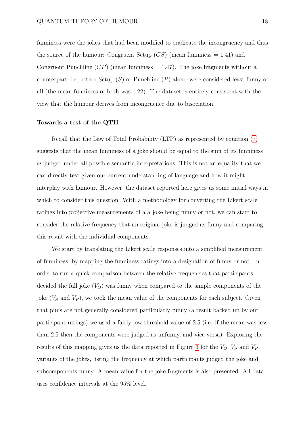funniness were the jokes that had been modified to eradicate the incongruency and thus the source of the humour: Congruent Setup  $(CS)$  (mean funniness  $= 1.41$ ) and Congruent Punchline  $(CP)$  (mean funniness  $= 1.47$ ). The joke fragments without a counterpart–i.e., either Setup (*S*) or Punchline (*P*) alone–were considered least funny of all (the mean funniness of both was 1.22). The dataset is entirely consistent with the view that the humour derives from incongruence due to bisociation.

#### **Towards a test of the QTH**

Recall that the Law of Total Probability (LTP) as represented by equation [\(7\)](#page-12-0) suggests that the mean funniness of a joke should be equal to the sum of its funniness as judged under all possible semantic interpretations. This is not an equality that we can directly test given our current understanding of language and how it might interplay with humour. However, the dataset reported here gives us some initial ways in which to consider this question. With a methodology for converting the Likert scale ratings into projective measurements of a a joke being funny or not, we can start to consider the relative frequency that an original joke is judged as funny and comparing this result with the individual components.

We start by translating the Likert scale responses into a simplified measurement of funniness, by mapping the funniness ratings into a designation of funny or not. In order to run a quick comparison between the relative frequencies that participants decided the full joke  $(V<sub>O</sub>)$  was funny when compared to the simple components of the joke (*V<sup>S</sup>* and *V<sup>P</sup>* ), we took the mean value of the components for each subject. Given that puns are not generally considered particularly funny (a result backed up by our participant ratings) we used a fairly low threshold value of 2.5 (i.e. if the mean was less than 2.5 then the components were judged as unfunny, and vice versa). Exploring the results of this mapping gives us the data reported in Figure [3](#page-46-0) for the *VO*, *V<sup>S</sup>* and *V<sup>P</sup>* variants of the jokes, listing the frequency at which participants judged the joke and subcomponents funny. A mean value for the joke fragments is also presented. All data uses confidence intervals at the 95% level.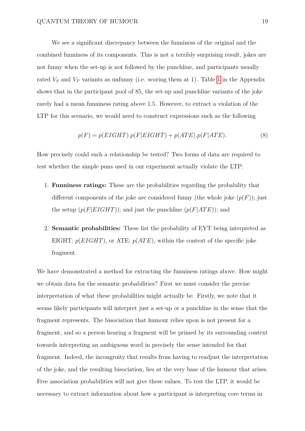We see a significant discrepancy between the funniness of the original and the combined funniness of its components. This is not a terribly surprising result, jokes are not funny when the set-up is not followed by the punchline, and participants usually rated  $V_S$  and  $V_P$  variants as unfunny (i.e. scoring them at [1](#page-30-0)). Table 1 in the Appendix shows that in the participant pool of 85, the set-up and punchline variants of the joke rarely had a mean funniness rating above 1.5. However, to extract a violation of the LTP for this scenario, we would need to construct expressions such as the following

<span id="page-18-0"></span>
$$
p(F) = p(EIGHT).p(F|EIGHT) + p(ATE).p(F|ATE).
$$
\n(8)

How precisely could such a relationship be tested? Two forms of data are required to test whether the simple puns used in our experiment actually violate the LTP:

- 1. **Funniness ratings:** These are the probabilities regarding the probability that different components of the joke are considered funny (the whole joke  $(p(F))$ ; just the setup  $(p(F|EIGHT))$ ; and just the punchline  $(p(F|ATE))$ ; and
- 2. **Semantic probabilities:** These list the probability of EYT being interpreted as EIGHT:  $p(EIGHT)$ , or ATE:  $p(ATE)$ , within the context of the specific joke fragment.

We have demonstrated a method for extracting the funniness ratings above. How might we obtain data for the semantic probabilities? First we must consider the precise interpretation of what these probabilities might actually be. Firstly, we note that it seems likely participants will interpret just a set-up or a punchline in the sense that the fragment represents. The bisociation that humour relies upon is not present for a fragment, and so a person hearing a fragment will be primed by its surrounding context towards interpreting an ambiguous word in precisely the sense intended for that fragment. Indeed, the incongruity that results from having to readjust the interpretation of the joke, and the resulting bisociation, lies at the very base of the humour that arises. Free association probabilities will not give these values. To test the LTP, it would be necessary to extract information about how a participant is interpreting core terms in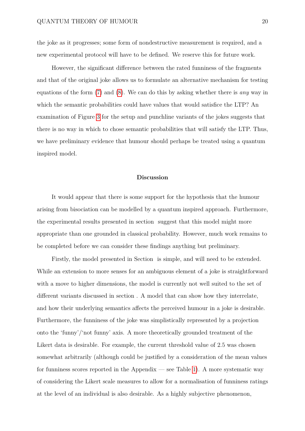the joke as it progresses; some form of nondestructive measurement is required, and a new experimental protocol will have to be defined. We reserve this for future work.

However, the significant difference between the rated funniness of the fragments and that of the original joke allows us to formulate an alternative mechanism for testing equations of the form [\(7\)](#page-12-0) and [\(8\)](#page-18-0). We can do this by asking whether there is *any* way in which the semantic probabilities could have values that would satisfice the LTP? An examination of Figure [3](#page-46-0) for the setup and punchline variants of the jokes suggests that there is no way in which to chose semantic probabilities that will satisfy the LTP. Thus, we have preliminary evidence that humour should perhaps be treated using a quantum inspired model.

## **Discussion**

It would appear that there is some support for the hypothesis that the humour arising from bisociation can be modelled by a quantum inspired approach. Furthermore, the experimental results presented in section suggest that this model might more appropriate than one grounded in classical probability. However, much work remains to be completed before we can consider these findings anything but preliminary.

Firstly, the model presented in Section is simple, and will need to be extended. While an extension to more senses for an ambiguous element of a joke is straightforward with a move to higher dimensions, the model is currently not well suited to the set of different variants discussed in section . A model that can show how they interrelate, and how their underlying semantics affects the perceived humour in a joke is desirable. Furthermore, the funniness of the joke was simplistically represented by a projection onto the 'funny'/'not funny' axis. A more theoretically grounded treatment of the Likert data is desirable. For example, the current threshold value of 2.5 was chosen somewhat arbitrarily (although could be justified by a consideration of the mean values for funniness scores reported in the Appendix — see Table [1\)](#page-30-0). A more systematic way of considering the Likert scale measures to allow for a normalisation of funniness ratings at the level of an individual is also desirable. As a highly subjective phenomenon,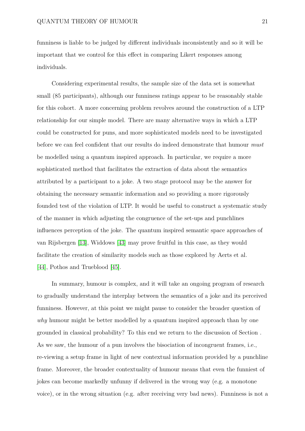funniness is liable to be judged by different individuals inconsistently and so it will be important that we control for this effect in comparing Likert responses among individuals.

Considering experimental results, the sample size of the data set is somewhat small (85 participants), although our funniness ratings appear to be reasonably stable for this cohort. A more concerning problem revolves around the construction of a LTP relationship for our simple model. There are many alternative ways in which a LTP could be constructed for puns, and more sophisticated models need to be investigated before we can feel confident that our results do indeed demonstrate that humour *must* be modelled using a quantum inspired approach. In particular, we require a more sophisticated method that facilitates the extraction of data about the semantics attributed by a participant to a joke. A two stage protocol may be the answer for obtaining the necessary semantic information and so providing a more rigorously founded test of the violation of LTP. It would be useful to construct a systematic study of the manner in which adjusting the congruence of the set-ups and punchlines influences perception of the joke. The quantum inspired semantic space approaches of van Rijsbergen [\[13\]](#page-25-0), Widdows [\[43\]](#page-29-3) may prove fruitful in this case, as they would facilitate the creation of similarity models such as those explored by Aerts et al. [\[44\]](#page-29-4), Pothos and Trueblood [\[45\]](#page-29-5).

In summary, humour is complex, and it will take an ongoing program of research to gradually understand the interplay between the semantics of a joke and its perceived funniness. However, at this point we might pause to consider the broader question of *why* humour might be better modelled by a quantum inspired approach than by one grounded in classical probability? To this end we return to the discussion of Section . As we saw, the humour of a pun involves the bisociation of incongruent frames, i.e., re-viewing a setup frame in light of new contextual information provided by a punchline frame. Moreover, the broader contextuality of humour means that even the funniest of jokes can become markedly unfunny if delivered in the wrong way (e.g. a monotone voice), or in the wrong situation (e.g. after receiving very bad news). Funniness is not a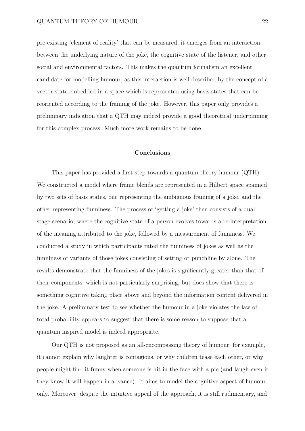pre-existing 'element of reality' that can be measured; it emerges from an interaction between the underlying nature of the joke, the cognitive state of the listener, and other social and environmental factors. This makes the quantum formalism an excellent candidate for modelling humour, as this interaction is well described by the concept of a vector state embedded in a space which is represented using basis states that can be reoriented according to the framing of the joke. However, this paper only provides a preliminary indication that a QTH may indeed provide a good theoretical underpinning for this complex process. Much more work remains to be done.

# **Conclusions**

This paper has provided a first step towards a quantum theory humour (QTH). We constructed a model where frame blends are represented in a Hilbert space spanned by two sets of basis states, one representing the ambiguous framing of a joke, and the other representing funniness. The process of 'getting a joke' then consists of a dual stage scenario, where the cognitive state of a person evolves towards a re-interpretation of the meaning attributed to the joke, followed by a measurement of funniness. We conducted a study in which participants rated the funniness of jokes as well as the funniness of variants of those jokes consisting of setting or punchline by alone. The results demonstrate that the funniness of the jokes is significantly greater than that of their components, which is not particularly surprising, but does show that there is something cognitive taking place above and beyond the information content delivered in the joke. A preliminary test to see whether the humour in a joke violates the law of total probability appears to suggest that there is some reason to suppose that a quantum inspired model is indeed appropriate.

Our QTH is not proposed as an all-encompassing theory of humour; for example, it cannot explain why laughter is contagious, or why children tease each other, or why people might find it funny when someone is hit in the face with a pie (and laugh even if they know it will happen in advance). It aims to model the cognitive aspect of humour only. Moreover, despite the intuitive appeal of the approach, it is still rudimentary, and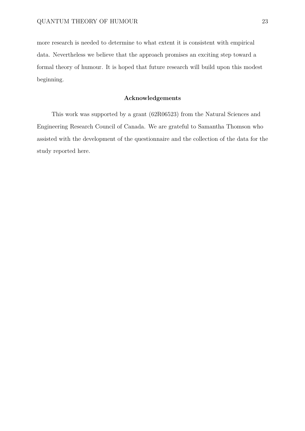more research is needed to determine to what extent it is consistent with empirical data. Nevertheless we believe that the approach promises an exciting step toward a formal theory of humour. It is hoped that future research will build upon this modest beginning.

# **Acknowledgements**

This work was supported by a grant (62R06523) from the Natural Sciences and Engineering Research Council of Canada. We are grateful to Samantha Thomson who assisted with the development of the questionnaire and the collection of the data for the study reported here.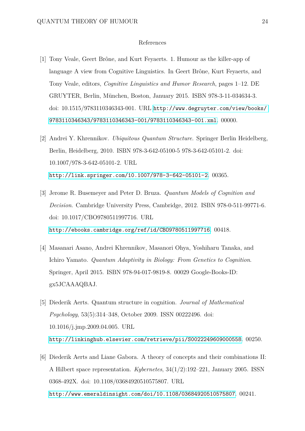## References

- <span id="page-23-0"></span>[1] Tony Veale, Geert Brône, and Kurt Feyaerts. 1. Humour as the killer-app of language A view from Cognitive Linguistics. In Geert Brône, Kurt Feyaerts, and Tony Veale, editors, *Cognitive Linguistics and Humor Research*, pages 1–12. DE GRUYTER, Berlin, München, Boston, January 2015. ISBN 978-3-11-034634-3. doi: 10.1515/9783110346343-001. URL [http://www.degruyter.com/view/books/](http://www.degruyter.com/view/books/9783110346343/9783110346343-001/9783110346343-001.xml) [9783110346343/9783110346343-001/9783110346343-001.xml](http://www.degruyter.com/view/books/9783110346343/9783110346343-001/9783110346343-001.xml). 00000.
- <span id="page-23-1"></span>[2] Andrei Y. Khrennikov. *Ubiquitous Quantum Structure*. Springer Berlin Heidelberg, Berlin, Heidelberg, 2010. ISBN 978-3-642-05100-5 978-3-642-05101-2. doi: 10.1007/978-3-642-05101-2. URL <http://link.springer.com/10.1007/978-3-642-05101-2>. 00365.
- <span id="page-23-2"></span>[3] Jerome R. Busemeyer and Peter D. Bruza. *Quantum Models of Cognition and Decision*. Cambridge University Press, Cambridge, 2012. ISBN 978-0-511-99771-6. doi: 10.1017/CBO9780511997716. URL <http://ebooks.cambridge.org/ref/id/CBO9780511997716>. 00418.
- <span id="page-23-3"></span>[4] Masanari Asano, Andrei Khrennikov, Masanori Ohya, Yoshiharu Tanaka, and Ichiro Yamato. *Quantum Adaptivity in Biology: From Genetics to Cognition*. Springer, April 2015. ISBN 978-94-017-9819-8. 00029 Google-Books-ID: gx5JCAAAQBAJ.
- <span id="page-23-4"></span>[5] Diederik Aerts. Quantum structure in cognition. *Journal of Mathematical Psychology*, 53(5):314–348, October 2009. ISSN 00222496. doi: 10.1016/j.jmp.2009.04.005. URL <http://linkinghub.elsevier.com/retrieve/pii/S0022249609000558>. 00250.
- <span id="page-23-5"></span>[6] Diederik Aerts and Liane Gabora. A theory of concepts and their combinations II: A Hilbert space representation. *Kybernetes*, 34(1/2):192–221, January 2005. ISSN 0368-492X. doi: 10.1108/03684920510575807. URL <http://www.emeraldinsight.com/doi/10.1108/03684920510575807>. 00241.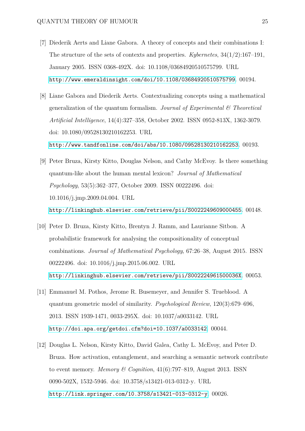- <span id="page-24-0"></span>[7] Diederik Aerts and Liane Gabora. A theory of concepts and their combinations I: The structure of the sets of contexts and properties. *Kybernetes*, 34(1/2):167–191, January 2005. ISSN 0368-492X. doi: 10.1108/03684920510575799. URL <http://www.emeraldinsight.com/doi/10.1108/03684920510575799>. 00194.
- <span id="page-24-1"></span>[8] Liane Gabora and Diederik Aerts. Contextualizing concepts using a mathematical generalization of the quantum formalism. *Journal of Experimental & Theoretical Artificial Intelligence*, 14(4):327–358, October 2002. ISSN 0952-813X, 1362-3079. doi: 10.1080/09528130210162253. URL <http://www.tandfonline.com/doi/abs/10.1080/09528130210162253>. 00193.
- <span id="page-24-2"></span>[9] Peter Bruza, Kirsty Kitto, Douglas Nelson, and Cathy McEvoy. Is there something quantum-like about the human mental lexicon? *Journal of Mathematical Psychology*, 53(5):362–377, October 2009. ISSN 00222496. doi: 10.1016/j.jmp.2009.04.004. URL <http://linkinghub.elsevier.com/retrieve/pii/S0022249609000455>. 00148.
- <span id="page-24-3"></span>[10] Peter D. Bruza, Kirsty Kitto, Brentyn J. Ramm, and Laurianne Sitbon. A probabilistic framework for analysing the compositionality of conceptual combinations. *Journal of Mathematical Psychology*, 67:26–38, August 2015. ISSN 00222496. doi: 10.1016/j.jmp.2015.06.002. URL <http://linkinghub.elsevier.com/retrieve/pii/S002224961500036X>. 00053.
- <span id="page-24-4"></span>[11] Emmanuel M. Pothos, Jerome R. Busemeyer, and Jennifer S. Trueblood. A quantum geometric model of similarity. *Psychological Review*, 120(3):679–696, 2013. ISSN 1939-1471, 0033-295X. doi: 10.1037/a0033142. URL <http://doi.apa.org/getdoi.cfm?doi=10.1037/a0033142>. 00044.
- <span id="page-24-5"></span>[12] Douglas L. Nelson, Kirsty Kitto, David Galea, Cathy L. McEvoy, and Peter D. Bruza. How activation, entanglement, and searching a semantic network contribute to event memory. *Memory & Cognition*, 41(6):797–819, August 2013. ISSN 0090-502X, 1532-5946. doi: 10.3758/s13421-013-0312-y. URL <http://link.springer.com/10.3758/s13421-013-0312-y>. 00026.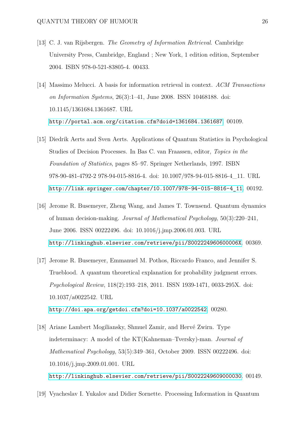- <span id="page-25-0"></span>[13] C. J. van Rijsbergen. *The Geometry of Information Retrieval*. Cambridge University Press, Cambridge, England ; New York, 1 edition edition, September 2004. ISBN 978-0-521-83805-4. 00433.
- <span id="page-25-1"></span>[14] Massimo Melucci. A basis for information retrieval in context. *ACM Transactions on Information Systems*, 26(3):1–41, June 2008. ISSN 10468188. doi: 10.1145/1361684.1361687. URL <http://portal.acm.org/citation.cfm?doid=1361684.1361687>. 00109.
- <span id="page-25-2"></span>[15] Diedrik Aerts and Sven Aerts. Applications of Quantum Statistics in Psychological Studies of Decision Processes. In Bas C. van Fraassen, editor, *Topics in the Foundation of Statistics*, pages 85–97. Springer Netherlands, 1997. ISBN 978-90-481-4792-2 978-94-015-8816-4. doi: 10.1007/978-94-015-8816-4\_11. URL [http://link.springer.com/chapter/10.1007/978-94-015-8816-4\\_11](http://link.springer.com/chapter/10.1007/978-94-015-8816-4_11). 00192.
- <span id="page-25-3"></span>[16] Jerome R. Busemeyer, Zheng Wang, and James T. Townsend. Quantum dynamics of human decision-making. *Journal of Mathematical Psychology*, 50(3):220–241, June 2006. ISSN 00222496. doi: 10.1016/j.jmp.2006.01.003. URL <http://linkinghub.elsevier.com/retrieve/pii/S002224960600006X>. 00369.
- <span id="page-25-4"></span>[17] Jerome R. Busemeyer, Emmanuel M. Pothos, Riccardo Franco, and Jennifer S. Trueblood. A quantum theoretical explanation for probability judgment errors. *Psychological Review*, 118(2):193–218, 2011. ISSN 1939-1471, 0033-295X. doi: 10.1037/a0022542. URL <http://doi.apa.org/getdoi.cfm?doi=10.1037/a0022542>. 00280.
- <span id="page-25-5"></span>[18] Ariane Lambert Mogiliansky, Shmuel Zamir, and Hervé Zwirn. Type indeterminacy: A model of the KT(Kahneman–Tversky)-man. *Journal of Mathematical Psychology*, 53(5):349–361, October 2009. ISSN 00222496. doi: 10.1016/j.jmp.2009.01.001. URL <http://linkinghub.elsevier.com/retrieve/pii/S0022249609000030>. 00149.
- <span id="page-25-6"></span>[19] Vyacheslav I. Yukalov and Didier Sornette. Processing Information in Quantum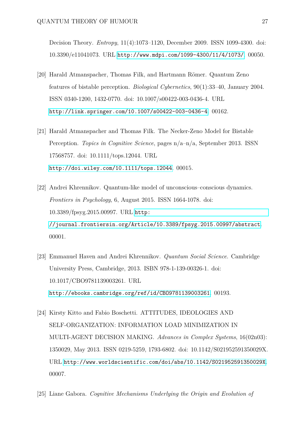Decision Theory. *Entropy*, 11(4):1073–1120, December 2009. ISSN 1099-4300. doi: 10.3390/e11041073. URL <http://www.mdpi.com/1099-4300/11/4/1073/>. 00050.

- <span id="page-26-0"></span>[20] Harald Atmanspacher, Thomas Filk, and Hartmann Römer. Quantum Zeno features of bistable perception. *Biological Cybernetics*, 90(1):33–40, January 2004. ISSN 0340-1200, 1432-0770. doi: 10.1007/s00422-003-0436-4. URL <http://link.springer.com/10.1007/s00422-003-0436-4>. 00162.
- <span id="page-26-1"></span>[21] Harald Atmanspacher and Thomas Filk. The Necker-Zeno Model for Bistable Perception. *Topics in Cognitive Science*, pages n/a–n/a, September 2013. ISSN 17568757. doi: 10.1111/tops.12044. URL <http://doi.wiley.com/10.1111/tops.12044>. 00015.
- <span id="page-26-2"></span>[22] Andrei Khrennikov. Quantum-like model of unconscious–conscious dynamics. *Frontiers in Psychology*, 6, August 2015. ISSN 1664-1078. doi: 10.3389/fpsyg.2015.00997. URL [http:](http://journal.frontiersin.org/Article/10.3389/fpsyg.2015.00997/abstract) [//journal.frontiersin.org/Article/10.3389/fpsyg.2015.00997/abstract](http://journal.frontiersin.org/Article/10.3389/fpsyg.2015.00997/abstract). 00001.
- <span id="page-26-3"></span>[23] Emmanuel Haven and Andrei Khrennikov. *Quantum Social Science*. Cambridge University Press, Cambridge, 2013. ISBN 978-1-139-00326-1. doi: 10.1017/CBO9781139003261. URL <http://ebooks.cambridge.org/ref/id/CBO9781139003261>. 00193.
- <span id="page-26-4"></span>[24] Kirsty Kitto and Fabio Boschetti. ATTITUDES, IDEOLOGIES AND SELF-ORGANIZATION: INFORMATION LOAD MINIMIZATION IN MULTI-AGENT DECISION MAKING. *Advances in Complex Systems*, 16(02n03): 1350029, May 2013. ISSN 0219-5259, 1793-6802. doi: 10.1142/S021952591350029X. URL <http://www.worldscientific.com/doi/abs/10.1142/S021952591350029X>. 00007.
- <span id="page-26-5"></span>[25] Liane Gabora. *Cognitive Mechanisms Underlying the Origin and Evolution of*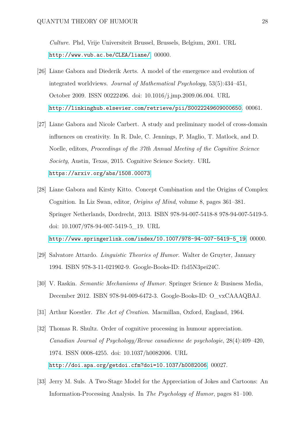*Culture*. Phd, Vrije Universiteit Brussel, Brussels, Belgium, 2001. URL <http://www.vub.ac.be/CLEA/liane/>. 00000.

- <span id="page-27-0"></span>[26] Liane Gabora and Diederik Aerts. A model of the emergence and evolution of integrated worldviews. *Journal of Mathematical Psychology*, 53(5):434–451, October 2009. ISSN 00222496. doi: 10.1016/j.jmp.2009.06.004. URL <http://linkinghub.elsevier.com/retrieve/pii/S0022249609000650>. 00061.
- <span id="page-27-1"></span>[27] Liane Gabora and Nicole Carbert. A study and preliminary model of cross-domain influences on creativity. In R. Dale, C. Jennings, P. Maglio, T. Matlock, and D. Noelle, editors, *Proceedings of the 37th Annual Meeting of the Cognitive Science Society*, Austin, Texas, 2015. Cognitive Science Society. URL <https://arxiv.org/abs/1508.00073>.
- <span id="page-27-2"></span>[28] Liane Gabora and Kirsty Kitto. Concept Combination and the Origins of Complex Cognition. In Liz Swan, editor, *Origins of Mind*, volume 8, pages 361–381. Springer Netherlands, Dordrecht, 2013. ISBN 978-94-007-5418-8 978-94-007-5419-5. doi: 10.1007/978-94-007-5419-5\_19. URL [http://www.springerlink.com/index/10.1007/978-94-007-5419-5\\_19](http://www.springerlink.com/index/10.1007/978-94-007-5419-5_19). 00000.
- <span id="page-27-3"></span>[29] Salvatore Attardo. *Linguistic Theories of Humor*. Walter de Gruyter, January 1994. ISBN 978-3-11-021902-9. Google-Books-ID: f1d5N3pei24C.
- <span id="page-27-4"></span>[30] V. Raskin. *Semantic Mechanisms of Humor*. Springer Science & Business Media, December 2012. ISBN 978-94-009-6472-3. Google-Books-ID: O\_vxCAAAQBAJ.
- <span id="page-27-5"></span>[31] Arthur Koestler. *The Act of Creation*. Macmillan, Oxford, England, 1964.
- <span id="page-27-6"></span>[32] Thomas R. Shultz. Order of cognitive processing in humour appreciation. *Canadian Journal of Psychology/Revue canadienne de psychologie*, 28(4):409–420, 1974. ISSN 0008-4255. doi: 10.1037/h0082006. URL <http://doi.apa.org/getdoi.cfm?doi=10.1037/h0082006>. 00027.
- <span id="page-27-7"></span>[33] Jerry M. Suls. A Two-Stage Model for the Appreciation of Jokes and Cartoons: An Information-Processing Analysis. In *The Psychology of Humor*, pages 81–100.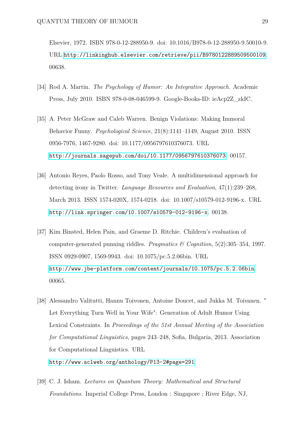Elsevier, 1972. ISBN 978-0-12-288950-9. doi: 10.1016/B978-0-12-288950-9.50010-9. URL <http://linkinghub.elsevier.com/retrieve/pii/B9780122889509500109>. 00638.

- <span id="page-28-0"></span>[34] Rod A. Martin. *The Psychology of Humor: An Integrative Approach*. Academic Press, July 2010. ISBN 978-0-08-046599-9. Google-Books-ID: ieAcp2Z\_zkIC.
- <span id="page-28-1"></span>[35] A. Peter McGraw and Caleb Warren. Benign Violations: Making Immoral Behavior Funny. *Psychological Science*, 21(8):1141–1149, August 2010. ISSN 0956-7976, 1467-9280. doi: 10.1177/0956797610376073. URL <http://journals.sagepub.com/doi/10.1177/0956797610376073>. 00157.
- <span id="page-28-2"></span>[36] Antonio Reyes, Paolo Rosso, and Tony Veale. A multidimensional approach for detecting irony in Twitter. *Language Resources and Evaluation*, 47(1):239–268, March 2013. ISSN 1574-020X, 1574-0218. doi: 10.1007/s10579-012-9196-x. URL <http://link.springer.com/10.1007/s10579-012-9196-x>. 00138.
- <span id="page-28-3"></span>[37] Kim Binsted, Helen Pain, and Graeme D. Ritchie. Children's evaluation of computer-generated punning riddles. *Pragmatics & Cognition*, 5(2):305–354, 1997. ISSN 0929-0907, 1569-9943. doi: 10.1075/pc.5.2.06bin. URL <http://www.jbe-platform.com/content/journals/10.1075/pc.5.2.06bin>. 00065.
- <span id="page-28-4"></span>[38] Alessandro Valitutti, Hannu Toivonen, Antoine Doucet, and Jukka M. Toivanen. " Let Everything Turn Well in Your Wife": Generation of Adult Humor Using Lexical Constraints. In *Proceedings of the 51st Annual Meeting of the Association for Computational Linguistics*, pages 243–248, Sofia, Bulgaria, 2013. Association for Computational Linguistics. URL <http://www.aclweb.org/anthology/P13-2#page=291>.
- <span id="page-28-5"></span>[39] C. J. Isham. *Lectures on Quantum Theory: Mathematical and Structural Foundations*. Imperial College Press, London : Singapore ; River Edge, NJ,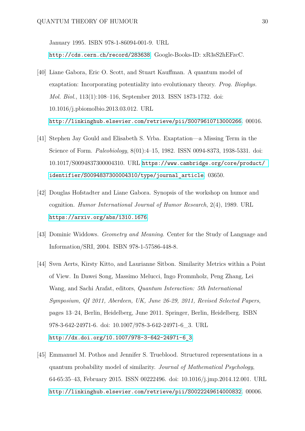January 1995. ISBN 978-1-86094-001-9. URL <http://cds.cern.ch/record/283638>. Google-Books-ID: xR3sS2hEFzcC.

- <span id="page-29-0"></span>[40] Liane Gabora, Eric O. Scott, and Stuart Kauffman. A quantum model of exaptation: Incorporating potentiality into evolutionary theory. *Prog. Biophys. Mol. Biol.*, 113(1):108–116, September 2013. ISSN 1873-1732. doi: 10.1016/j.pbiomolbio.2013.03.012. URL <http://linkinghub.elsevier.com/retrieve/pii/S0079610713000266>. 00016.
- <span id="page-29-1"></span>[41] Stephen Jay Gould and Elisabeth S. Vrba. Exaptation—a Missing Term in the Science of Form. *Paleobiology*, 8(01):4–15, 1982. ISSN 0094-8373, 1938-5331. doi: 10.1017/S0094837300004310. URL [https://www.cambridge.org/core/product/](https://www.cambridge.org/core/product/identifier/S0094837300004310/type/journal_article) [identifier/S0094837300004310/type/journal\\_article](https://www.cambridge.org/core/product/identifier/S0094837300004310/type/journal_article). 03650.
- <span id="page-29-2"></span>[42] Douglas Hofstadter and Liane Gabora. Synopsis of the workshop on humor and cognition. *Humor International Journal of Humor Research*, 2(4), 1989. URL <https://arxiv.org/abs/1310.1676>.
- <span id="page-29-3"></span>[43] Dominic Widdows. *Geometry and Meaning*. Center for the Study of Language and Information/SRI, 2004. ISBN 978-1-57586-448-8.
- <span id="page-29-4"></span>[44] Sven Aerts, Kirsty Kitto, and Laurianne Sitbon. Similarity Metrics within a Point of View. In Dawei Song, Massimo Melucci, Ingo Frommholz, Peng Zhang, Lei Wang, and Sachi Arafat, editors, *Quantum Interaction: 5th International Symposium, QI 2011, Aberdeen, UK, June 26-29, 2011, Revised Selected Papers*, pages 13–24, Berlin, Heidelberg, June 2011. Springer, Berlin, Heidelberg. ISBN 978-3-642-24971-6. doi: 10.1007/978-3-642-24971-6\_3. URL [http://dx.doi.org/10.1007/978-3-642-24971-6\\_3](http://dx.doi.org/10.1007/978-3-642-24971-6_3).
- <span id="page-29-5"></span>[45] Emmanuel M. Pothos and Jennifer S. Trueblood. Structured representations in a quantum probability model of similarity. *Journal of Mathematical Psychology*, 64-65:35–43, February 2015. ISSN 00222496. doi: 10.1016/j.jmp.2014.12.001. URL <http://linkinghub.elsevier.com/retrieve/pii/S0022249614000832>. 00006.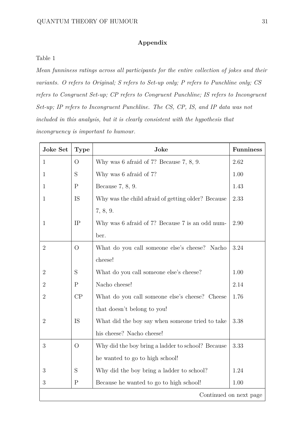# **Appendix**

# <span id="page-30-0"></span>Table 1

*Mean funniness ratings across all participants for the entire collection of jokes and their variants. O refers to Original; S refers to Set-up only; P refers to Punchline only; CS refers to Congruent Set-up; CP refers to Congruent Punchline; IS refers to Incongruent Set-up; IP refers to Incongruent Punchline. The CS, CP, IS, and IP data was not included in this analysis, but it is clearly consistent with the hypothesis that incongruency is important to humour.*

| <b>Joke Set</b>        | <b>Type</b>    | Joke                                               | <b>Funniness</b> |
|------------------------|----------------|----------------------------------------------------|------------------|
| $\mathbf{1}$           | $\overline{O}$ | Why was 6 afraid of 7? Because 7, 8, 9.            | 2.62             |
| 1                      | S              | Why was 6 afraid of 7?                             | 1.00             |
| 1                      | $\mathbf P$    | Because 7, 8, 9.                                   | 1.43             |
| $\mathbf{1}$           | <b>IS</b>      | Why was the child afraid of getting older? Because | 2.33             |
|                        |                | 7, 8, 9.                                           |                  |
| $\mathbf{1}$           | IP             | Why was 6 afraid of 7? Because 7 is an odd num-    | 2.90             |
|                        |                | ber.                                               |                  |
| $\overline{2}$         | $\overline{O}$ | What do you call someone else's cheese? Nacho      | 3.24             |
|                        |                | cheese!                                            |                  |
| $\overline{2}$         | S              | What do you call someone else's cheese?            | 1.00             |
| $\overline{2}$         | $\mathbf P$    | Nacho cheese!                                      | 2.14             |
| $\overline{2}$         | CP             | What do you call someone else's cheese? Cheese     | 1.76             |
|                        |                | that doesn't belong to you!                        |                  |
| $\overline{2}$         | IS             | What did the boy say when someone tried to take    | 3.38             |
|                        |                | his cheese? Nacho cheese!                          |                  |
| 3                      | $\overline{O}$ | Why did the boy bring a ladder to school? Because  | 3.33             |
|                        |                | he wanted to go to high school!                    |                  |
| 3                      | S              | Why did the boy bring a ladder to school?          | 1.24             |
| 3                      | $\mathbf P$    | Because he wanted to go to high school!            | 1.00             |
| Continued on next page |                |                                                    |                  |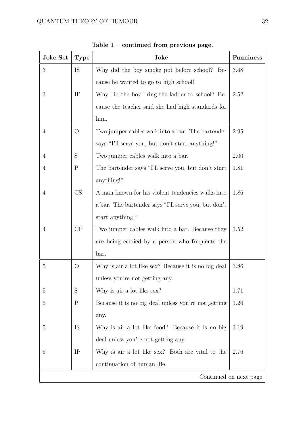| Joke Set               | <b>Type</b>    | Joke                                                 | <b>Funniness</b> |
|------------------------|----------------|------------------------------------------------------|------------------|
| 3                      | IS             | Why did the boy smoke pot before school? Be-         | 3.48             |
|                        |                | cause he wanted to go to high school!                |                  |
| 3                      | IP             | Why did the boy bring the ladder to school? Be-      | 2.52             |
|                        |                | cause the teacher said she had high standards for    |                  |
|                        |                | him.                                                 |                  |
| $\overline{4}$         | $\overline{O}$ | Two jumper cables walk into a bar. The bartender     | 2.95             |
|                        |                | says "I'll serve you, but don't start anything!"     |                  |
| 4                      | S              | Two jumper cables walk into a bar.                   | 2.00             |
| 4                      | $\mathbf P$    | The bartender says "I'll serve you, but don't start  | 1.81             |
|                        |                | anything!"                                           |                  |
| $\overline{4}$         | CS             | A man known for his violent tendencies walks into    | 1.86             |
|                        |                | a bar. The bartender says "I'll serve you, but don't |                  |
|                        |                | start anything!"                                     |                  |
| $\overline{4}$         | CP             | Two jumper cables walk into a bar. Because they      | 1.52             |
|                        |                | are being carried by a person who frequents the      |                  |
|                        |                | bar.                                                 |                  |
| 5                      | $\overline{O}$ | Why is air a lot like sex? Because it is no big deal | 3.86             |
|                        |                | unless you're not getting any.                       |                  |
| 5                      | S              | Why is air a lot like sex?                           | 1.71             |
| $\overline{5}$         | $\mathbf P$    | Because it is no big deal unless you're not getting  | 1.24             |
|                        |                | any.                                                 |                  |
| 5                      | IS             | Why is air a lot like food? Because it is no big     | 3.19             |
|                        |                | deal unless you're not getting any.                  |                  |
| 5                      | IP             | Why is air a lot like sex? Both are vital to the     | 2.76             |
|                        |                | continuation of human life.                          |                  |
| Continued on next page |                |                                                      |                  |

**Table 1 – continued from previous page.**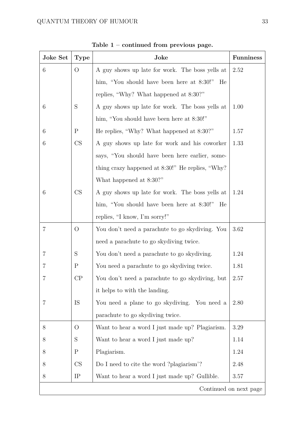| Joke Set               | <b>Type</b>    | Joke                                             | <b>Funniness</b> |
|------------------------|----------------|--------------------------------------------------|------------------|
| 6                      | $\overline{O}$ | A guy shows up late for work. The boss yells at  | 2.52             |
|                        |                | him, "You should have been here at 8:30!"<br>He  |                  |
|                        |                | replies, "Why? What happened at 8:30?"           |                  |
| 6                      | S              | A guy shows up late for work. The boss yells at  | 1.00             |
|                        |                | him, "You should have been here at 8:30!"        |                  |
| 6                      | $\mathbf P$    | He replies, "Why? What happened at 8:30?"        | 1.57             |
| 6                      | CS             | A guy shows up late for work and his coworker    | 1.33             |
|                        |                | says, "You should have been here earlier, some-  |                  |
|                        |                | thing crazy happened at 8:30!" He replies, "Why? |                  |
|                        |                | What happened at 8:30?"                          |                  |
| 6                      | CS             | A guy shows up late for work. The boss yells at  | 1.24             |
|                        |                | him, "You should have been here at 8:30!" He     |                  |
|                        |                | replies, "I know, I'm sorry!"                    |                  |
| $\overline{7}$         | $\overline{O}$ | You don't need a parachute to go skydiving. You  | 3.62             |
|                        |                | need a parachute to go skydiving twice.          |                  |
| 7                      | S              | You don't need a parachute to go skydiving.      | 1.24             |
| 7                      | $\mathbf P$    | You need a parachute to go skydiving twice.      | 1.81             |
|                        | $\rm CP$       | You don't need a parachute to go skydiving, but  | 2.57             |
|                        |                | it helps to with the landing.                    |                  |
| 7                      | IS             | You need a plane to go skydiving. You need a     | 2.80             |
|                        |                | parachute to go skydiving twice.                 |                  |
| 8                      | $\rm{O}$       | Want to hear a word I just made up? Plagiarism.  | 3.29             |
| 8                      | $\mathbf S$    | Want to hear a word I just made up?              | 1.14             |
| 8                      | $\mathbf P$    | Plagiarism.                                      | 1.24             |
| 8                      | CS             | Do I need to cite the word? plagiarism?          | 2.48             |
| 8                      | IP             | Want to hear a word I just made up? Gullible.    | 3.57             |
| Continued on next page |                |                                                  |                  |

**Table 1 – continued from previous page.**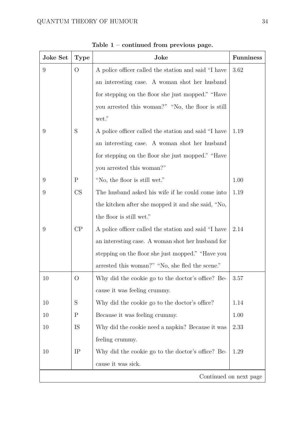| Joke Set | <b>Type</b>            | Joke                                                 | <b>Funniness</b> |  |
|----------|------------------------|------------------------------------------------------|------------------|--|
| 9        | $\overline{O}$         | A police officer called the station and said "I have | 3.62             |  |
|          |                        | an interesting case. A woman shot her husband        |                  |  |
|          |                        | for stepping on the floor she just mopped." "Have    |                  |  |
|          |                        | you arrested this woman?" "No, the floor is still    |                  |  |
|          |                        | wet."                                                |                  |  |
| 9        | S                      | A police officer called the station and said "I have | 1.19             |  |
|          |                        | an interesting case. A woman shot her husband        |                  |  |
|          |                        | for stepping on the floor she just mopped." "Have    |                  |  |
|          |                        | you arrested this woman?"                            |                  |  |
| 9        | $\mathbf P$            | "No, the floor is still wet."                        | 1.00             |  |
| 9        | CS                     | The husband asked his wife if he could come into     | 1.19             |  |
|          |                        | the kitchen after she mopped it and she said, "No,   |                  |  |
|          |                        | the floor is still wet."                             |                  |  |
| 9        | CP                     | A police officer called the station and said "I have | 2.14             |  |
|          |                        | an interesting case. A woman shot her husband for    |                  |  |
|          |                        | stepping on the floor she just mopped." "Have you    |                  |  |
|          |                        | arrested this woman?" "No, she fled the scene."      |                  |  |
| 10       | O                      | Why did the cookie go to the doctor's office? Be-    | 3.57             |  |
|          |                        | cause it was feeling crummy.                         |                  |  |
| 10       | $\mathbf S$            | Why did the cookie go to the doctor's office?        | 1.14             |  |
| 10       | $\mathbf P$            | Because it was feeling crummy.                       | 1.00             |  |
| 10       | IS                     | Why did the cookie need a napkin? Because it was     | 2.33             |  |
|          |                        | feeling crummy.                                      |                  |  |
| 10       | IP                     | Why did the cookie go to the doctor's office? Be-    | 1.29             |  |
|          |                        | cause it was sick.                                   |                  |  |
|          | Continued on next page |                                                      |                  |  |

**Table 1 – continued from previous page.**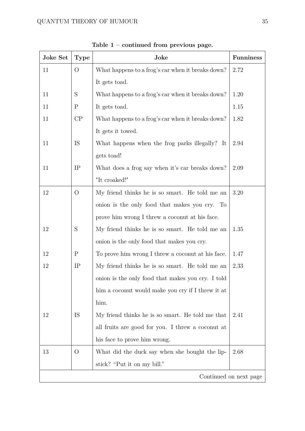| Joke Set | <b>Type</b>            | Joke                                              | <b>Funniness</b> |  |
|----------|------------------------|---------------------------------------------------|------------------|--|
| 11       | $\overline{O}$         | What happens to a frog's car when it breaks down? | 2.72             |  |
|          |                        | It gets toad.                                     |                  |  |
| 11       | S                      | What happens to a frog's car when it breaks down? | 1.20             |  |
| 11       | $\mathbf P$            | It gets toad.                                     | 1.15             |  |
| 11       | CP                     | What happens to a frog's car when it breaks down? | 1.82             |  |
|          |                        | It gets it towed.                                 |                  |  |
| 11       | IS                     | What happens when the frog parks illegally? It    | 2.94             |  |
|          |                        | gets toad!                                        |                  |  |
| 11       | IP                     | What does a frog say when it's car breaks down?   | 2.09             |  |
|          |                        | "It croaked!"                                     |                  |  |
| 12       | $\overline{O}$         | My friend thinks he is so smart. He told me an    | 3.20             |  |
|          |                        | onion is the only food that makes you cry. To     |                  |  |
|          |                        | prove him wrong I threw a coconut at his face.    |                  |  |
| 12       | $\mathbf S$            | My friend thinks he is so smart. He told me an    | 1.35             |  |
|          |                        | onion is the only food that makes you cry.        |                  |  |
| 12       | $\mathbf P$            | To prove him wrong I threw a coconut at his face. | 1.47             |  |
| 12       | IP                     | My friend thinks he is so smart. He told me an    | 2.33             |  |
|          |                        | onion is the only food that makes you cry. I told |                  |  |
|          |                        | him a coconut would make you cry if I threw it at |                  |  |
|          |                        | him.                                              |                  |  |
| 12       | IS                     | My friend thinks he is so smart. He told me that  | 2.41             |  |
|          |                        | all fruits are good for you. I threw a coconut at |                  |  |
|          |                        | his face to prove him wrong.                      |                  |  |
| 13       | $\rm{O}$               | What did the duck say when she bought the lip-    | 2.68             |  |
|          |                        | stick? "Put it on my bill."                       |                  |  |
|          | Continued on next page |                                                   |                  |  |

**Table 1 – continued from previous page.**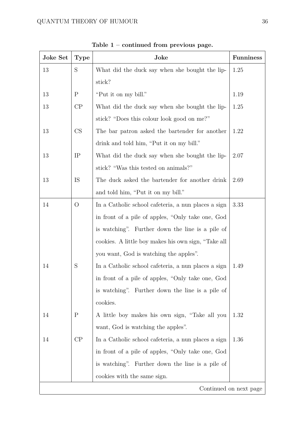| <b>Joke Set</b> | <b>Type</b>            | Joke                                                | <b>Funniness</b> |  |
|-----------------|------------------------|-----------------------------------------------------|------------------|--|
| 13              | $\mathbf S$            | What did the duck say when she bought the lip-      | 1.25             |  |
|                 |                        | stick?                                              |                  |  |
| 13              | $\mathbf P$            | "Put it on my bill."                                | 1.19             |  |
| 13              | CP                     | What did the duck say when she bought the lip-      | 1.25             |  |
|                 |                        | stick? "Does this colour look good on me?"          |                  |  |
| 13              | CS                     | The bar patron asked the bartender for another      | 1.22             |  |
|                 |                        | drink and told him, "Put it on my bill."            |                  |  |
| 13              | IP                     | What did the duck say when she bought the lip-      | 2.07             |  |
|                 |                        | stick? "Was this tested on animals?"                |                  |  |
| 13              | IS                     | The duck asked the bartender for another drink      | 2.69             |  |
|                 |                        | and told him, "Put it on my bill."                  |                  |  |
| 14              | $\overline{O}$         | In a Catholic school cafeteria, a nun places a sign | 3.33             |  |
|                 |                        | in front of a pile of apples, "Only take one, God   |                  |  |
|                 |                        | is watching". Further down the line is a pile of    |                  |  |
|                 |                        | cookies. A little boy makes his own sign, "Take all |                  |  |
|                 |                        | you want, God is watching the apples".              |                  |  |
| 14              | S                      | In a Catholic school cafeteria, a nun places a sign | 1.49             |  |
|                 |                        | in front of a pile of apples, "Only take one, God   |                  |  |
|                 |                        | is watching". Further down the line is a pile of    |                  |  |
|                 |                        | cookies.                                            |                  |  |
| 14              | $\mathbf P$            | A little boy makes his own sign, "Take all you      | 1.32             |  |
|                 |                        | want, God is watching the apples".                  |                  |  |
| 14              | $\rm CP$               | In a Catholic school cafeteria, a nun places a sign | 1.36             |  |
|                 |                        | in front of a pile of apples, "Only take one, God   |                  |  |
|                 |                        | is watching". Further down the line is a pile of    |                  |  |
|                 |                        | cookies with the same sign.                         |                  |  |
|                 | Continued on next page |                                                     |                  |  |

**Table 1 – continued from previous page.**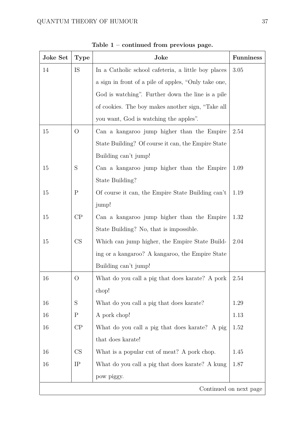| Joke Set               | <b>Type</b>    | Joke                                                        | <b>Funniness</b> |
|------------------------|----------------|-------------------------------------------------------------|------------------|
| 14                     | IS             | In a Catholic school cafeteria, a little boy places         | 3.05             |
|                        |                | a sign in front of a pile of apples, "Only take one,        |                  |
|                        |                | God is watching". Further down the line is a pile           |                  |
|                        |                | of cookies. The boy makes another sign, "Take all           |                  |
|                        |                | you want, God is watching the apples".                      |                  |
| 15                     | $\overline{O}$ | Can a kangaroo jump higher than the Empire                  | 2.54             |
|                        |                | State Building? Of course it can, the Empire State          |                  |
|                        |                | Building can't jump!                                        |                  |
| 15                     | S              | Can a kangaroo jump higher than the Empire                  | 1.09             |
|                        |                | State Building?                                             |                  |
| 15                     | $\mathbf P$    | Of course it can, the Empire State Building can't           | 1.19             |
|                        |                | jump!                                                       |                  |
| 15                     | CP             | Can a kangaroo jump higher than the Empire                  | 1.32             |
|                        |                | State Building? No, that is impossible.                     |                  |
| 15                     | CS             | Which can jump higher, the Empire State Build-              | 2.04             |
|                        |                | ing or a kangaroo? A kangaroo, the Empire State             |                  |
|                        |                | Building can't jump!                                        |                  |
| 16                     | O              | What do you call a pig that does karate? A pork $\mid 2.54$ |                  |
|                        |                | chop!                                                       |                  |
| 16                     | S              | What do you call a pig that does karate?                    | 1.29             |
| 16                     | $\mathbf P$    | A pork chop!                                                | 1.13             |
| 16                     | $\rm CP$       | What do you call a pig that does karate? A pig              | 1.52             |
|                        |                | that does karate!                                           |                  |
| 16                     | CS             | What is a popular cut of meat? A pork chop.                 | 1.45             |
| 16                     | IP             | What do you call a pig that does karate? A kung             | 1.87             |
|                        |                | pow piggy.                                                  |                  |
| Continued on next page |                |                                                             |                  |

**Table 1 – continued from previous page.**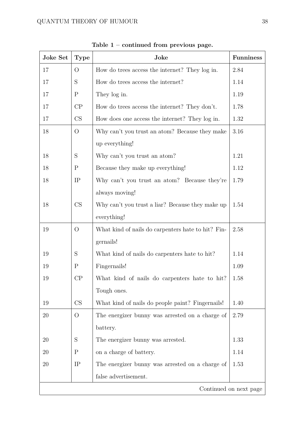| Joke Set               | <b>Type</b>    | Joke                                               | <b>Funniness</b> |
|------------------------|----------------|----------------------------------------------------|------------------|
| 17                     | $\overline{O}$ | How do trees access the internet? They log in.     | 2.84             |
| 17                     | $\mathbf S$    | How do trees access the internet?                  | 1.14             |
| 17                     | $\mathbf P$    | They log in.                                       | 1.19             |
| 17                     | CP             | How do trees access the internet? They don't.      | 1.78             |
| 17                     | CS             | How does one access the internet? They log in.     | 1.32             |
| 18                     | $\overline{O}$ | Why can't you trust an atom? Because they make     | 3.16             |
|                        |                | up everything!                                     |                  |
| 18                     | S              | Why can't you trust an atom?                       | 1.21             |
| 18                     | $\mathbf P$    | Because they make up everything!                   | 1.12             |
| 18                     | IP             | Why can't you trust an atom? Because they're       | 1.79             |
|                        |                | always moving!                                     |                  |
| 18                     | CS             | Why can't you trust a liar? Because they make up   | 1.54             |
|                        |                | everything!                                        |                  |
| 19                     | $\overline{O}$ | What kind of nails do carpenters hate to hit? Fin- | 2.58             |
|                        |                | gernails!                                          |                  |
| 19                     | $\mathbf S$    | What kind of nails do carpenters hate to hit?      | 1.14             |
| 19                     | $\mathbf P$    | Fingernails!                                       | 1.09             |
| 19                     | CP             | What kind of nails do carpenters hate to hit?      | 1.58             |
|                        |                | Tough ones.                                        |                  |
| 19                     | CS             | What kind of nails do people paint? Fingernails!   | 1.40             |
| 20                     | $\overline{O}$ | The energizer bunny was arrested on a charge of    | 2.79             |
|                        |                | battery.                                           |                  |
| 20                     | S              | The energizer bunny was arrested.                  | 1.33             |
| 20                     | $\mathbf P$    | on a charge of battery.                            | 1.14             |
| 20                     | IP             | The energizer bunny was arrested on a charge of    | 1.53             |
|                        |                | false advertisement.                               |                  |
| Continued on next page |                |                                                    |                  |

**Table 1 – continued from previous page.**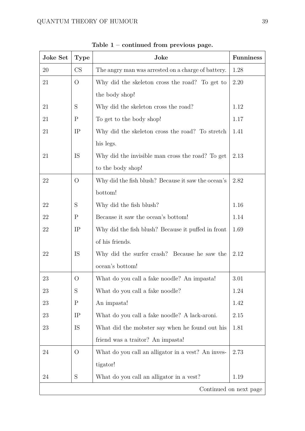| <b>Joke Set</b>        | <b>Type</b>    | Joke                                               | <b>Funniness</b> |
|------------------------|----------------|----------------------------------------------------|------------------|
| 20                     | CS             | The angry man was arrested on a charge of battery. | 1.28             |
| 21                     | $\overline{O}$ | Why did the skeleton cross the road? To get to     | 2.20             |
|                        |                | the body shop!                                     |                  |
| 21                     | $\mathbf S$    | Why did the skeleton cross the road?               | 1.12             |
| 21                     | $\mathbf P$    | To get to the body shop!                           | 1.17             |
| 21                     | IP             | Why did the skeleton cross the road? To stretch    | 1.41             |
|                        |                | his legs.                                          |                  |
| 21                     | IS             | Why did the invisible man cross the road? To get   | 2.13             |
|                        |                | to the body shop!                                  |                  |
| 22                     | $\overline{O}$ | Why did the fish blush? Because it saw the ocean's | 2.82             |
|                        |                | bottom!                                            |                  |
| 22                     | $\mathbf S$    | Why did the fish blush?                            | 1.16             |
| 22                     | $\mathbf P$    | Because it saw the ocean's bottom!                 | 1.14             |
| 22                     | IP             | Why did the fish blush? Because it puffed in front | 1.69             |
|                        |                | of his friends.                                    |                  |
| 22                     | IS             | Why did the surfer crash? Because he saw the       | 2.12             |
|                        |                | ocean's bottom!                                    |                  |
| 23                     | O              | What do you call a fake noodle? An impasta!        | 3.01             |
| 23                     | S              | What do you call a fake noodle?                    | 1.24             |
| 23                     | $\mathbf P$    | An impasta!                                        | 1.42             |
| 23                     | IP             | What do you call a fake noodle? A lack-aroni.      | 2.15             |
| 23                     | IS             | What did the mobster say when he found out his     | 1.81             |
|                        |                | friend was a traitor? An impasta!                  |                  |
| 24                     | $\overline{O}$ | What do you call an alligator in a vest? An inves- | 2.73             |
|                        |                | tigator!                                           |                  |
| 24                     | $\mathbf S$    | What do you call an alligator in a vest?           | 1.19             |
| Continued on next page |                |                                                    |                  |

**Table 1 – continued from previous page.**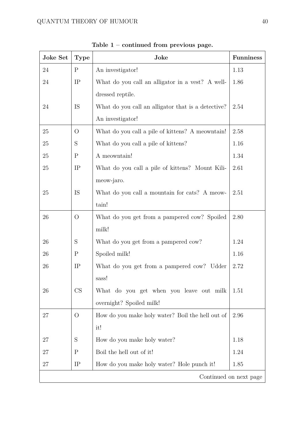| Joke Set               | <b>Type</b>    | Joke                                               | <b>Funniness</b> |
|------------------------|----------------|----------------------------------------------------|------------------|
| 24                     | $\mathbf{P}$   | An investigator!                                   | 1.13             |
| 24                     | IP             | What do you call an alligator in a vest? A well-   | 1.86             |
|                        |                | dressed reptile.                                   |                  |
| 24                     | IS             | What do you call an alligator that is a detective? | 2.54             |
|                        |                | An investigator!                                   |                  |
| 25                     | $\overline{O}$ | What do you call a pile of kittens? A meowntain!   | 2.58             |
| 25                     | $\mathbf S$    | What do you call a pile of kittens?                | 1.16             |
| 25                     | $\mathbf P$    | A meowntain!                                       | 1.34             |
| 25                     | IP             | What do you call a pile of kittens? Mount Kili-    | 2.61             |
|                        |                | meow-jaro.                                         |                  |
| 25                     | IS             | What do you call a mountain for cats? A meow-      | 2.51             |
|                        |                | tain!                                              |                  |
| 26                     | $\overline{O}$ | What do you get from a pampered cow? Spoiled       | 2.80             |
|                        |                | milk!                                              |                  |
| 26                     | S              | What do you get from a pampered cow?               | 1.24             |
| 26                     | $\mathbf P$    | Spoiled milk!                                      | 1.16             |
| 26                     | IP             | What do you get from a pampered cow? Udder         | 2.72             |
|                        |                | sass!                                              |                  |
| 26                     | CS             | What do you get when you leave out milk            | 1.51             |
|                        |                | overnight? Spoiled milk!                           |                  |
| 27                     | $\overline{O}$ | How do you make holy water? Boil the hell out of   | 2.96             |
|                        |                | it!                                                |                  |
| 27                     | $\mathbf S$    | How do you make holy water?                        | 1.18             |
| 27                     | $\mathbf P$    | Boil the hell out of it!                           | 1.24             |
| 27                     | IP             | How do you make holy water? Hole punch it!         | 1.85             |
| Continued on next page |                |                                                    |                  |

**Table 1 – continued from previous page.**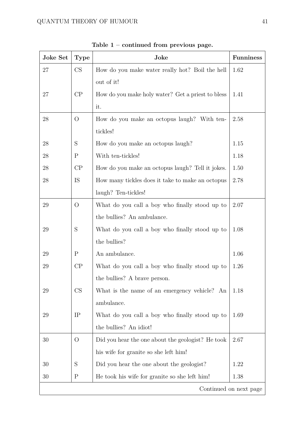| <b>Joke Set</b>        | <b>Type</b>    | Joke                                              | <b>Funniness</b> |
|------------------------|----------------|---------------------------------------------------|------------------|
| 27                     | CS             | How do you make water really hot? Boil the hell   | 1.62             |
|                        |                | out of it!                                        |                  |
| 27                     | CP             | How do you make holy water? Get a priest to bless | 1.41             |
|                        |                | it.                                               |                  |
| 28                     | $\overline{O}$ | How do you make an octopus laugh? With ten-       | 2.58             |
|                        |                | tickles!                                          |                  |
| 28                     | S              | How do you make an octopus laugh?                 | 1.15             |
| 28                     | $\mathbf P$    | With ten-tickles!                                 | 1.18             |
| 28                     | CP             | How do you make an octopus laugh? Tell it jokes.  | 1.50             |
| 28                     | IS             | How many tickles does it take to make an octopus  | 2.78             |
|                        |                | laugh? Ten-tickles!                               |                  |
| 29                     | $\overline{O}$ | What do you call a boy who finally stood up to    | 2.07             |
|                        |                | the bullies? An ambulance.                        |                  |
| 29                     | $\mathbf S$    | What do you call a boy who finally stood up to    | 1.08             |
|                        |                | the bullies?                                      |                  |
| 29                     | $\mathbf P$    | An ambulance.                                     | 1.06             |
| 29                     | CP             | What do you call a boy who finally stood up to    | 1.26             |
|                        |                | the bullies? A brave person.                      |                  |
| 29                     | CS             | What is the name of an emergency vehicle? An      | 1.18             |
|                        |                | ambulance.                                        |                  |
| 29                     | IP             | What do you call a boy who finally stood up to    | 1.69             |
|                        |                | the bullies? An idiot!                            |                  |
| 30                     | $\overline{O}$ | Did you hear the one about the geologist? He took | 2.67             |
|                        |                | his wife for granite so she left him!             |                  |
| 30                     | S              | Did you hear the one about the geologist?         | 1.22             |
| 30                     | $\mathbf P$    | He took his wife for granite so she left him!     | 1.38             |
| Continued on next page |                |                                                   |                  |

**Table 1 – continued from previous page.**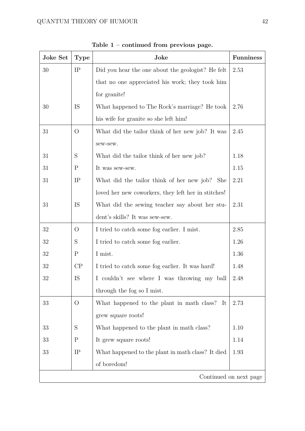| Joke Set | <b>Type</b>            | Joke                                                | <b>Funniness</b> |  |
|----------|------------------------|-----------------------------------------------------|------------------|--|
| 30       | IP                     | Did you hear the one about the geologist? He felt   | 2.53             |  |
|          |                        | that no one appreciated his work; they took him     |                  |  |
|          |                        | for granite!                                        |                  |  |
| 30       | IS                     | What happened to The Rock's marriage? He took       | 2.76             |  |
|          |                        | his wife for granite so she left him!               |                  |  |
| 31       | $\overline{O}$         | What did the tailor think of her new job? It was    | 2.45             |  |
|          |                        | sew-sew.                                            |                  |  |
| 31       | $\mathbf S$            | What did the tailor think of her new job?           | 1.18             |  |
| 31       | $\mathbf P$            | It was sew-sew.                                     | 1.15             |  |
| 31       | IP                     | What did the tailor think of her new job? She       | 2.21             |  |
|          |                        | loved her new coworkers, they left her in stitches! |                  |  |
| 31       | IS                     | What did the sewing teacher say about her stu-      | 2.31             |  |
|          |                        | dent's skills? It was sew-sew.                      |                  |  |
| 32       | $\overline{O}$         | I tried to catch some fog earlier. I mist.          | 2.85             |  |
| 32       | $\mathbf S$            | I tried to catch some fog earlier.                  | 1.26             |  |
| 32       | $\mathbf P$            | I mist.                                             | 1.36             |  |
| 32       | CP                     | I tried to catch some fog earlier. It was hard!     | 1.48             |  |
| 32       | IS                     | I couldn't see where I was throwing my ball         | 2.48             |  |
|          |                        | through the fog so I mist.                          |                  |  |
| 33       | $\rm{O}$               | What happened to the plant in math class?<br>-It    | 2.73             |  |
|          |                        | grew square roots!                                  |                  |  |
| 33       | S                      | What happened to the plant in math class?           | 1.10             |  |
| 33       | $\mathbf P$            | It grew square roots!                               | 1.14             |  |
| 33       | IP                     | What happened to the plant in math class? It died   | 1.93             |  |
|          |                        | of boredom!                                         |                  |  |
|          | Continued on next page |                                                     |                  |  |

**Table 1 – continued from previous page.**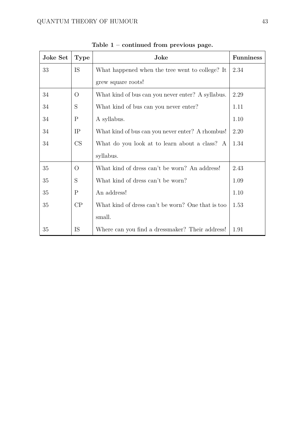| Joke Set | <b>Type</b>  | Joke                                              | <b>Funniness</b> |
|----------|--------------|---------------------------------------------------|------------------|
| 33       | IS           | What happened when the tree went to college? It   | 2.34             |
|          |              | grew square roots!                                |                  |
| 34       | $\rm{O}$     | What kind of bus can you never enter? A syllabus. | 2.29             |
| 34       | S            | What kind of bus can you never enter?             | 1.11             |
| 34       | P            | A syllabus.                                       | 1.10             |
| 34       | IP           | What kind of bus can you never enter? A rhombus!  | 2.20             |
| 34       | CS           | What do you look at to learn about a class? A     | 1.34             |
|          |              | syllabus.                                         |                  |
| 35       | $\Omega$     | What kind of dress can't be worn? An address!     | 2.43             |
| 35       | S            | What kind of dress can't be worn?                 | 1.09             |
| 35       | $\mathbf{P}$ | An address!                                       | 1.10             |
| 35       | CP           | What kind of dress can't be worn? One that is too | 1.53             |
|          |              | small.                                            |                  |
| 35       | IS           | Where can you find a dressmaker? Their address!   | 1.91             |

**Table 1 – continued from previous page.**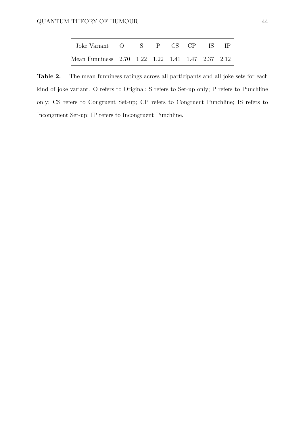| Joke Variant O S P CS CP IS IP                    |  |  |  |  |
|---------------------------------------------------|--|--|--|--|
| Mean Funniness 2.70 1.22 1.22 1.41 1.47 2.37 2.12 |  |  |  |  |

<span id="page-43-0"></span>**Table 2.** The mean funniness ratings across all participants and all joke sets for each kind of joke variant. O refers to Original; S refers to Set-up only; P refers to Punchline only; CS refers to Congruent Set-up; CP refers to Congruent Punchline; IS refers to Incongruent Set-up; IP refers to Incongruent Punchline.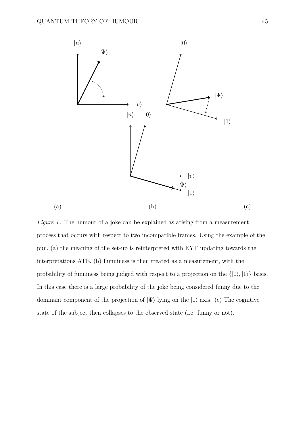<span id="page-44-0"></span>

*Figure 1*. The humour of a joke can be explained as arising from a measurement process that occurs with respect to two incompatible frames. Using the example of the pun, (a) the meaning of the set-up is reinterpreted with EYT updating towards the interpretations ATE. (b) Funniness is then treated as a measurement, with the probability of funniness being judged with respect to a projection on the  $\{|0\rangle, |1\rangle\}$  basis. In this case there is a large probability of the joke being considered funny due to the dominant component of the projection of  $|\Psi\rangle$  lying on the  $|1\rangle$  axis. (c) The cognitive state of the subject then collapses to the observed state (i.e. funny or not).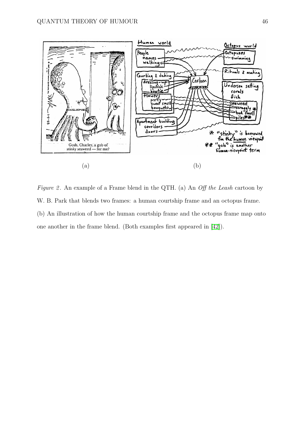<span id="page-45-0"></span>

*Figure 2* . An example of a Frame blend in the QTH. (a) An *Off the Leash* cartoon by W. B. Park that blends two frames: a human courtship frame and an octopus frame. (b) An illustration of how the human courtship frame and the octopus frame map onto one another in the frame blend. (Both examples first appeared in [\[42\]](#page-29-2)).